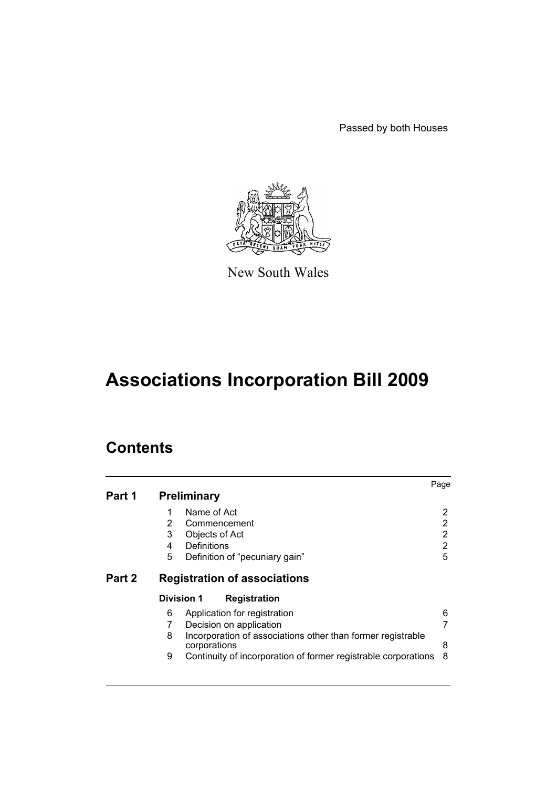Passed by both Houses



New South Wales

# **Associations Incorporation Bill 2009**

# **Contents**

| Part 1 |                   | <b>Preliminary</b>                                                          | Page |
|--------|-------------------|-----------------------------------------------------------------------------|------|
|        | 1                 | Name of Act                                                                 | 2    |
|        | 2                 | Commencement                                                                | 2    |
|        | 3                 | Objects of Act                                                              | 2    |
|        | 4                 | Definitions                                                                 | 2    |
|        | 5                 | Definition of "pecuniary gain"                                              | 5    |
| Part 2 |                   | <b>Registration of associations</b>                                         |      |
|        | <b>Division 1</b> | <b>Registration</b>                                                         |      |
|        | 6                 | Application for registration                                                | 6    |
|        |                   | Decision on application                                                     | 7    |
|        | 8                 | Incorporation of associations other than former registrable<br>corporations | 8    |
|        | 9                 | Continuity of incorporation of former registrable corporations              | 8    |
|        |                   |                                                                             |      |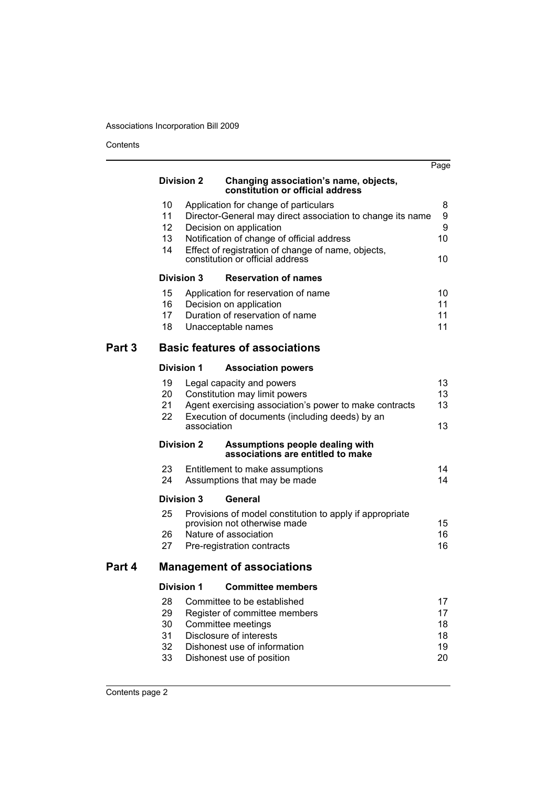Contents

|        |                                         |             |                                                                                                                                                                                                                                                                        | Page                             |
|--------|-----------------------------------------|-------------|------------------------------------------------------------------------------------------------------------------------------------------------------------------------------------------------------------------------------------------------------------------------|----------------------------------|
|        | <b>Division 2</b>                       |             | Changing association's name, objects,<br>constitution or official address                                                                                                                                                                                              |                                  |
|        | 10<br>11<br>12 <sub>2</sub><br>13<br>14 |             | Application for change of particulars<br>Director-General may direct association to change its name<br>Decision on application<br>Notification of change of official address<br>Effect of registration of change of name, objects,<br>constitution or official address | 8<br>9<br>9<br>10<br>10          |
|        | Division 3                              |             | <b>Reservation of names</b>                                                                                                                                                                                                                                            |                                  |
|        | 15<br>16<br>17<br>18                    |             | Application for reservation of name<br>Decision on application<br>Duration of reservation of name<br>Unacceptable names                                                                                                                                                | 10<br>11<br>11<br>11             |
| Part 3 |                                         |             | <b>Basic features of associations</b>                                                                                                                                                                                                                                  |                                  |
|        | <b>Division 1</b>                       |             | <b>Association powers</b>                                                                                                                                                                                                                                              |                                  |
|        | 19<br>20<br>21<br>22                    | association | Legal capacity and powers<br>Constitution may limit powers<br>Agent exercising association's power to make contracts<br>Execution of documents (including deeds) by an                                                                                                 | 13<br>13<br>13<br>13             |
|        | <b>Division 2</b>                       |             | Assumptions people dealing with<br>associations are entitled to make                                                                                                                                                                                                   |                                  |
|        | 23<br>24                                |             | Entitlement to make assumptions<br>Assumptions that may be made                                                                                                                                                                                                        | 14<br>14                         |
|        | <b>Division 3</b>                       |             | General                                                                                                                                                                                                                                                                |                                  |
|        | 25<br>26<br>27                          |             | Provisions of model constitution to apply if appropriate<br>provision not otherwise made<br>Nature of association<br>Pre-registration contracts                                                                                                                        | 15<br>16<br>16                   |
| Part 4 |                                         |             | <b>Management of associations</b>                                                                                                                                                                                                                                      |                                  |
|        | <b>Division 1</b>                       |             | <b>Committee members</b>                                                                                                                                                                                                                                               |                                  |
|        | 28<br>29<br>30<br>31<br>32<br>33        |             | Committee to be established<br>Register of committee members<br>Committee meetings<br>Disclosure of interests<br>Dishonest use of information<br>Dishonest use of position                                                                                             | 17<br>17<br>18<br>18<br>19<br>20 |
|        |                                         |             |                                                                                                                                                                                                                                                                        |                                  |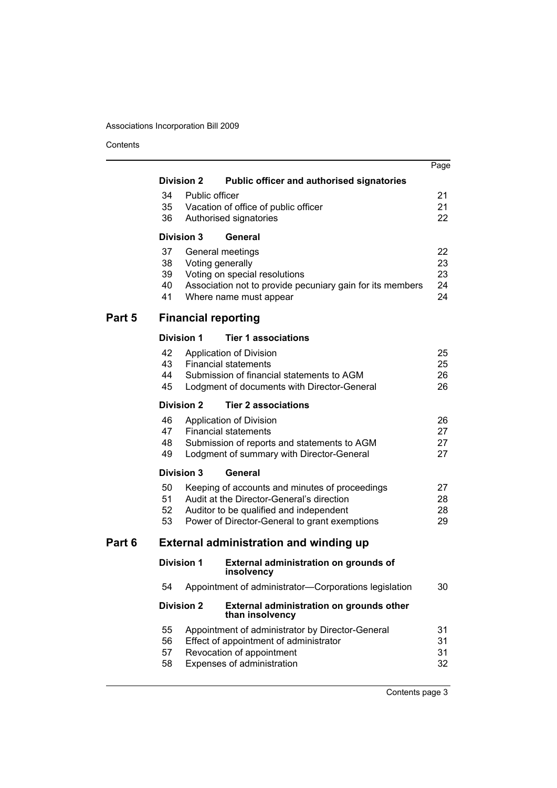Contents

|        |                                               |  |                                                                                     | Page     |  |  |
|--------|-----------------------------------------------|--|-------------------------------------------------------------------------------------|----------|--|--|
|        | <b>Division 2</b>                             |  | <b>Public officer and authorised signatories</b>                                    |          |  |  |
|        | 34<br>Public officer                          |  |                                                                                     |          |  |  |
|        | 35                                            |  | Vacation of office of public officer                                                | 21       |  |  |
|        | 36                                            |  | Authorised signatories                                                              | 22       |  |  |
|        | <b>Division 3</b>                             |  | General                                                                             |          |  |  |
|        | 37                                            |  | General meetings                                                                    | 22       |  |  |
|        | 38                                            |  | Voting generally                                                                    | 23       |  |  |
|        | 39                                            |  | Voting on special resolutions                                                       | 23       |  |  |
|        | 40<br>41                                      |  | Association not to provide pecuniary gain for its members<br>Where name must appear | 24<br>24 |  |  |
|        |                                               |  |                                                                                     |          |  |  |
| Part 5 |                                               |  | <b>Financial reporting</b>                                                          |          |  |  |
|        | <b>Division 1</b>                             |  | <b>Tier 1 associations</b>                                                          |          |  |  |
|        | 42                                            |  | Application of Division                                                             | 25       |  |  |
|        | 43                                            |  | <b>Financial statements</b>                                                         | 25       |  |  |
|        | 44                                            |  | Submission of financial statements to AGM                                           | 26       |  |  |
|        | 45                                            |  | Lodgment of documents with Director-General                                         | 26       |  |  |
|        | <b>Division 2</b>                             |  | <b>Tier 2 associations</b>                                                          |          |  |  |
|        | 46                                            |  | Application of Division                                                             | 26       |  |  |
|        | 47                                            |  | <b>Financial statements</b>                                                         | 27       |  |  |
|        | 48                                            |  | Submission of reports and statements to AGM                                         | 27       |  |  |
|        | 49                                            |  | Lodgment of summary with Director-General                                           | 27       |  |  |
|        | <b>Division 3</b>                             |  | General                                                                             |          |  |  |
|        | 50                                            |  | Keeping of accounts and minutes of proceedings                                      | 27       |  |  |
|        | 51                                            |  | Audit at the Director-General's direction                                           | 28       |  |  |
|        | 52                                            |  | Auditor to be qualified and independent                                             | 28       |  |  |
|        | 53                                            |  | Power of Director-General to grant exemptions                                       | 29       |  |  |
| Part 6 | <b>External administration and winding up</b> |  |                                                                                     |          |  |  |
|        | <b>Division 1</b>                             |  | <b>External administration on grounds of</b><br>insolvency                          |          |  |  |
|        | 54                                            |  | Appointment of administrator-Corporations legislation                               | 30       |  |  |
|        | <b>Division 2</b>                             |  | External administration on grounds other<br>than insolvency                         |          |  |  |
|        | 55                                            |  | Appointment of administrator by Director-General                                    | 31       |  |  |
|        | 56                                            |  | Effect of appointment of administrator                                              | 31       |  |  |
|        | 57                                            |  | Revocation of appointment                                                           | 31       |  |  |
|        | 58                                            |  | Expenses of administration                                                          | 32       |  |  |
|        |                                               |  |                                                                                     |          |  |  |

Contents page 3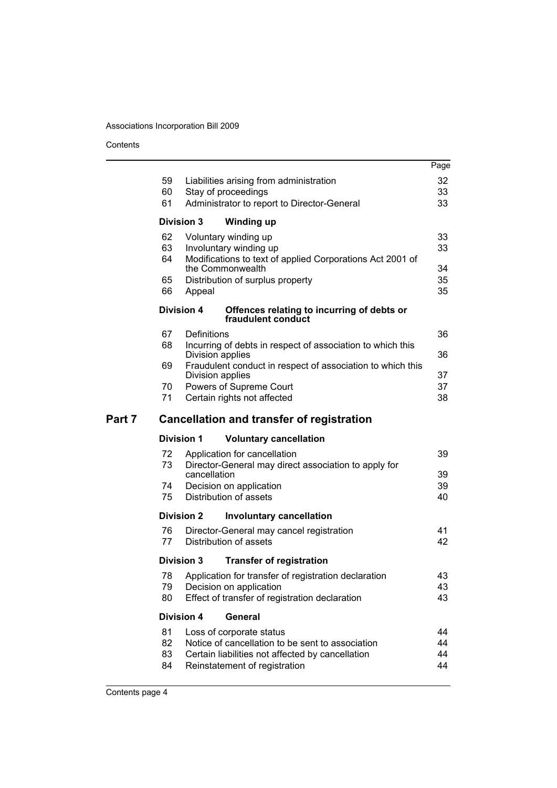Contents

|        |          |                                                                                       | Page     |
|--------|----------|---------------------------------------------------------------------------------------|----------|
|        | 59       | Liabilities arising from administration                                               | 32       |
|        | 60       | Stay of proceedings                                                                   | 33       |
|        | 61       | Administrator to report to Director-General                                           | 33       |
|        |          | <b>Division 3</b><br><b>Winding up</b>                                                |          |
|        |          |                                                                                       |          |
|        | 62       | Voluntary winding up                                                                  | 33       |
|        | 63<br>64 | Involuntary winding up<br>Modifications to text of applied Corporations Act 2001 of   | 33       |
|        |          | the Commonwealth                                                                      | 34       |
|        | 65       | Distribution of surplus property                                                      | 35       |
|        | 66       | Appeal                                                                                | 35       |
|        |          | <b>Division 4</b><br>Offences relating to incurring of debts or<br>fraudulent conduct |          |
|        | 67       | Definitions                                                                           | 36       |
|        | 68       | Incurring of debts in respect of association to which this                            |          |
|        |          | Division applies                                                                      | 36       |
|        | 69       | Fraudulent conduct in respect of association to which this<br>Division applies        | 37       |
|        | 70       | Powers of Supreme Court                                                               | 37       |
|        | 71       | Certain rights not affected                                                           | 38       |
|        |          |                                                                                       |          |
|        |          |                                                                                       |          |
| Part 7 |          | <b>Cancellation and transfer of registration</b>                                      |          |
|        |          | <b>Division 1</b><br><b>Voluntary cancellation</b>                                    |          |
|        | 72       | Application for cancellation                                                          | 39       |
|        | 73       | Director-General may direct association to apply for                                  |          |
|        |          | cancellation                                                                          | 39       |
|        | 74       | Decision on application                                                               | 39       |
|        | 75       | Distribution of assets                                                                | 40       |
|        |          | <b>Division 2</b><br><b>Involuntary cancellation</b>                                  |          |
|        | 76       | Director-General may cancel registration                                              | 41       |
|        | 77       | Distribution of assets                                                                | 42       |
|        |          | Division 3<br><b>Transfer of registration</b>                                         |          |
|        | 78       | Application for transfer of registration declaration                                  | 43       |
|        | 79       | Decision on application                                                               | 43       |
|        | 80       | Effect of transfer of registration declaration                                        | 43       |
|        |          | <b>Division 4</b><br>General                                                          |          |
|        | 81       | Loss of corporate status                                                              | 44       |
|        | 82       | Notice of cancellation to be sent to association                                      | 44       |
|        | 83<br>84 | Certain liabilities not affected by cancellation<br>Reinstatement of registration     | 44<br>44 |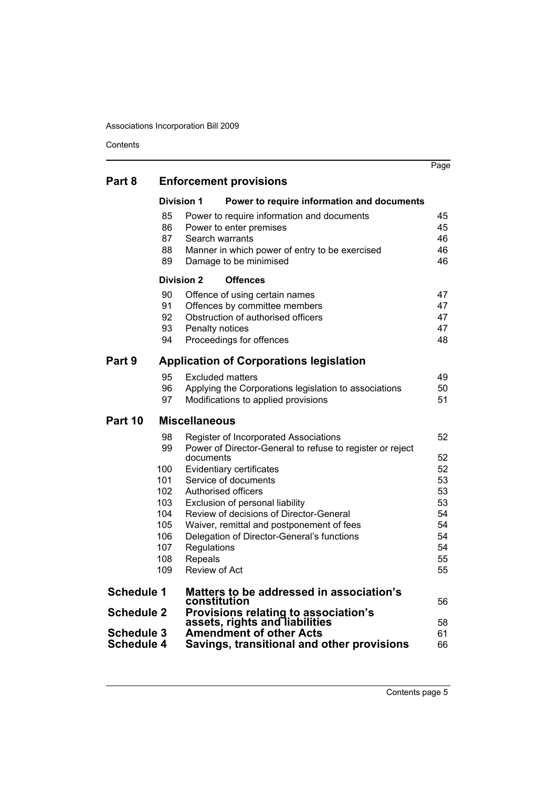Contents

|                   |            |                                                                          | Page     |
|-------------------|------------|--------------------------------------------------------------------------|----------|
| Part 8            |            | <b>Enforcement provisions</b>                                            |          |
|                   |            | <b>Division 1</b><br>Power to require information and documents          |          |
|                   | 85         | Power to require information and documents                               | 45       |
|                   | 86         | Power to enter premises                                                  | 45       |
|                   | 87         | Search warrants                                                          | 46       |
|                   | 88<br>89   | Manner in which power of entry to be exercised<br>Damage to be minimised | 46<br>46 |
|                   |            | <b>Division 2</b><br><b>Offences</b>                                     |          |
|                   | 90         | Offence of using certain names                                           | 47       |
|                   | 91         | Offences by committee members                                            | 47       |
|                   | 92         | Obstruction of authorised officers                                       | 47       |
|                   | 93         | Penalty notices                                                          | 47       |
|                   | 94         | Proceedings for offences                                                 | 48       |
| Part 9            |            | <b>Application of Corporations legislation</b>                           |          |
|                   | 95         | <b>Excluded matters</b>                                                  | 49       |
|                   | 96         | Applying the Corporations legislation to associations                    | 50       |
|                   | 97         | Modifications to applied provisions                                      | 51       |
| Part 10           |            | <b>Miscellaneous</b>                                                     |          |
|                   | 98         | Register of Incorporated Associations                                    | 52       |
|                   | 99         | Power of Director-General to refuse to register or reject                |          |
|                   |            | documents                                                                | 52       |
|                   | 100<br>101 | Evidentiary certificates<br>Service of documents                         | 52<br>53 |
|                   | 102        | Authorised officers                                                      | 53       |
|                   | 103        | Exclusion of personal liability                                          | 53       |
|                   | 104        | Review of decisions of Director-General                                  | 54       |
|                   | 105        | Waiver, remittal and postponement of fees                                | 54       |
|                   | 106        | Delegation of Director-General's functions                               | 54       |
|                   | 107        | Regulations                                                              | 54       |
|                   | 108        | Repeals                                                                  | 55       |
|                   | 109        | <b>Review of Act</b>                                                     | 55       |
| <b>Schedule 1</b> |            | Matters to be addressed in association's                                 |          |
| <b>Schedule 2</b> |            | constitution                                                             | 56       |
|                   |            | Provisions relating to association's<br>assets, rights and liabilities   | 58       |
| <b>Schedule 3</b> |            | <b>Amendment of other Acts</b>                                           | 61       |
| <b>Schedule 4</b> |            | Savings, transitional and other provisions                               | 66       |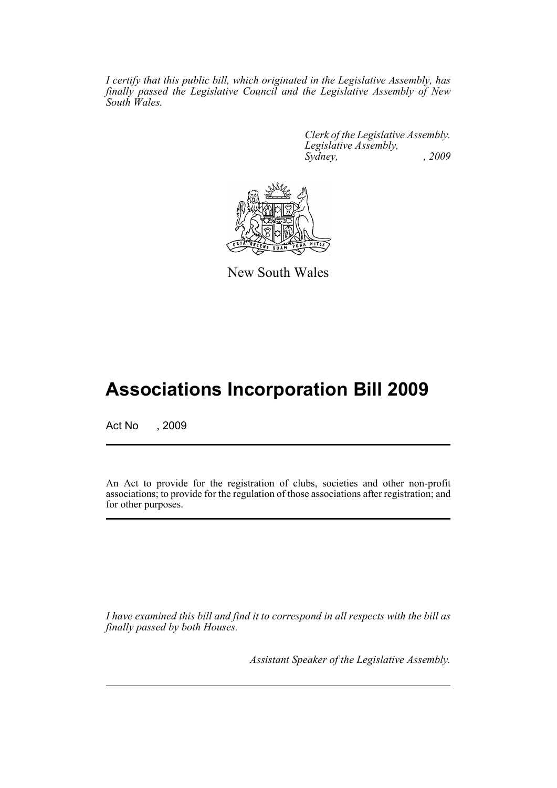*I certify that this public bill, which originated in the Legislative Assembly, has finally passed the Legislative Council and the Legislative Assembly of New South Wales.*

> *Clerk of the Legislative Assembly. Legislative Assembly, Sydney, , 2009*



New South Wales

# **Associations Incorporation Bill 2009**

Act No , 2009

An Act to provide for the registration of clubs, societies and other non-profit associations; to provide for the regulation of those associations after registration; and for other purposes.

*I have examined this bill and find it to correspond in all respects with the bill as finally passed by both Houses.*

*Assistant Speaker of the Legislative Assembly.*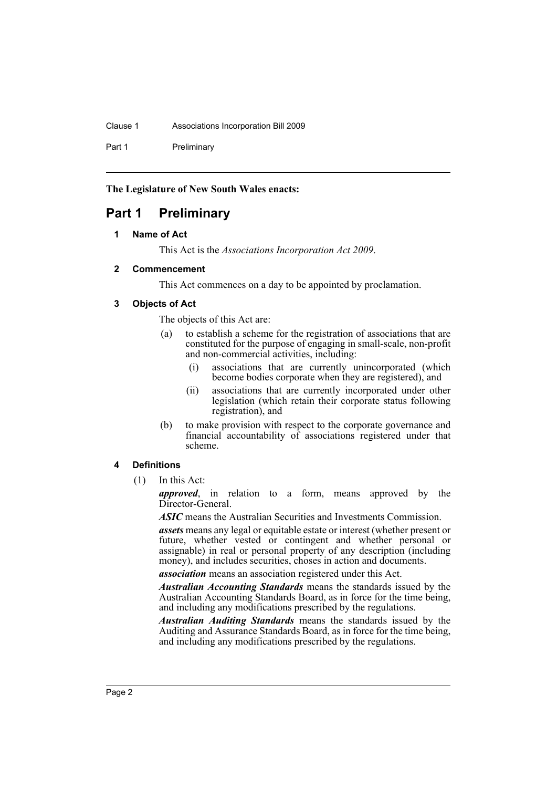#### Clause 1 Associations Incorporation Bill 2009

Part 1 Preliminary

**The Legislature of New South Wales enacts:**

# <span id="page-6-1"></span><span id="page-6-0"></span>**Part 1 Preliminary**

### **1 Name of Act**

This Act is the *Associations Incorporation Act 2009*.

### <span id="page-6-2"></span>**2 Commencement**

This Act commences on a day to be appointed by proclamation.

### <span id="page-6-3"></span>**3 Objects of Act**

The objects of this Act are:

- (a) to establish a scheme for the registration of associations that are constituted for the purpose of engaging in small-scale, non-profit and non-commercial activities, including:
	- (i) associations that are currently unincorporated (which become bodies corporate when they are registered), and
	- (ii) associations that are currently incorporated under other legislation (which retain their corporate status following registration), and
- (b) to make provision with respect to the corporate governance and financial accountability of associations registered under that scheme.

### <span id="page-6-4"></span>**4 Definitions**

(1) In this Act:

*approved*, in relation to a form, means approved by the Director-General.

*ASIC* means the Australian Securities and Investments Commission.

*assets* means any legal or equitable estate or interest (whether present or future, whether vested or contingent and whether personal or assignable) in real or personal property of any description (including money), and includes securities, choses in action and documents.

*association* means an association registered under this Act.

*Australian Accounting Standards* means the standards issued by the Australian Accounting Standards Board, as in force for the time being, and including any modifications prescribed by the regulations.

*Australian Auditing Standards* means the standards issued by the Auditing and Assurance Standards Board, as in force for the time being, and including any modifications prescribed by the regulations.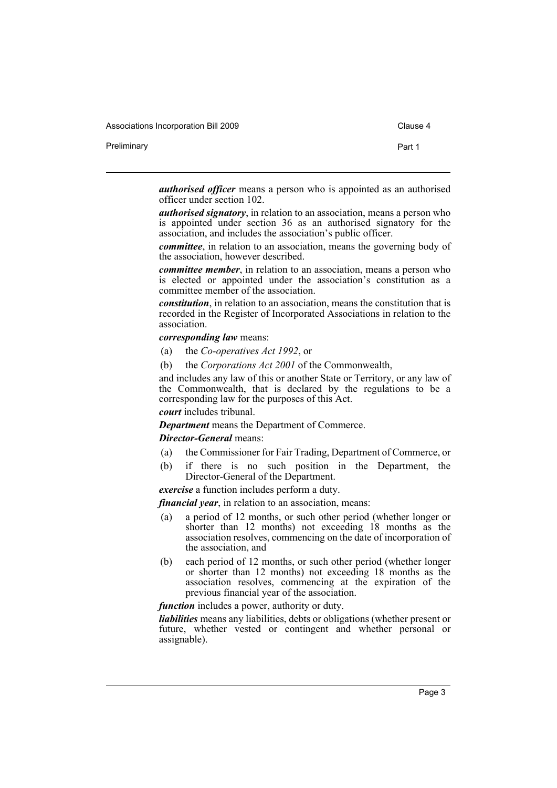Associations Incorporation Bill 2009 Clause 4

Preliminary **Preliminary Part 1** 

*authorised officer* means a person who is appointed as an authorised officer under section 102.

*authorised signatory*, in relation to an association, means a person who is appointed under section 36 as an authorised signatory for the association, and includes the association's public officer.

*committee*, in relation to an association, means the governing body of the association, however described.

*committee member*, in relation to an association, means a person who is elected or appointed under the association's constitution as a committee member of the association.

*constitution*, in relation to an association, means the constitution that is recorded in the Register of Incorporated Associations in relation to the association.

#### *corresponding law* means:

- (a) the *Co-operatives Act 1992*, or
- (b) the *Corporations Act 2001* of the Commonwealth,

and includes any law of this or another State or Territory, or any law of the Commonwealth, that is declared by the regulations to be a corresponding law for the purposes of this Act.

*court* includes tribunal.

*Department* means the Department of Commerce.

*Director-General* means:

- (a) the Commissioner for Fair Trading, Department of Commerce, or
- (b) if there is no such position in the Department, the Director-General of the Department.

*exercise* a function includes perform a duty.

*financial year*, in relation to an association, means:

- (a) a period of 12 months, or such other period (whether longer or shorter than 12 months) not exceeding 18 months as the association resolves, commencing on the date of incorporation of the association, and
- (b) each period of 12 months, or such other period (whether longer or shorter than 12 months) not exceeding 18 months as the association resolves, commencing at the expiration of the previous financial year of the association.

*function* includes a power, authority or duty.

*liabilities* means any liabilities, debts or obligations (whether present or future, whether vested or contingent and whether personal or assignable).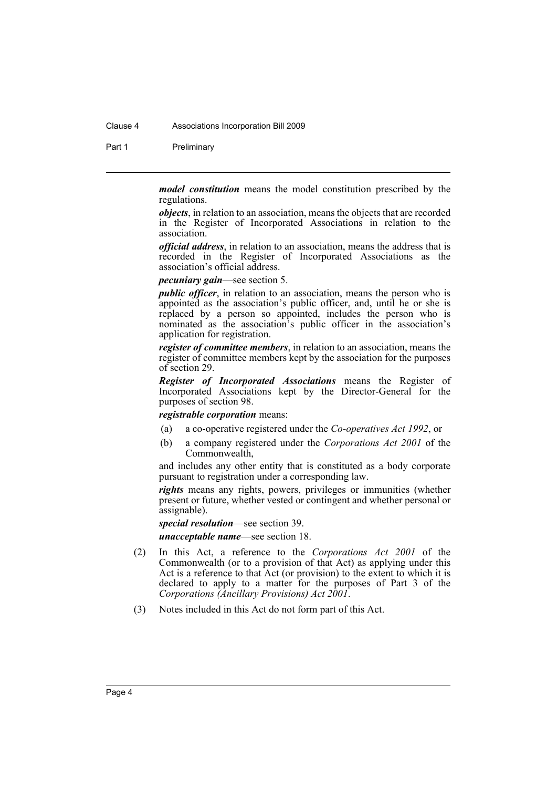#### Clause 4 Associations Incorporation Bill 2009

Part 1 Preliminary

*model constitution* means the model constitution prescribed by the regulations.

*objects*, in relation to an association, means the objects that are recorded in the Register of Incorporated Associations in relation to the association.

*official address*, in relation to an association, means the address that is recorded in the Register of Incorporated Associations as the association's official address.

*pecuniary gain*—see section 5.

*public officer*, in relation to an association, means the person who is appointed as the association's public officer, and, until he or she is replaced by a person so appointed, includes the person who is nominated as the association's public officer in the association's application for registration.

*register of committee members*, in relation to an association, means the register of committee members kept by the association for the purposes of section 29.

*Register of Incorporated Associations* means the Register of Incorporated Associations kept by the Director-General for the purposes of section 98.

*registrable corporation* means:

- (a) a co-operative registered under the *Co-operatives Act 1992*, or
- (b) a company registered under the *Corporations Act 2001* of the Commonwealth,

and includes any other entity that is constituted as a body corporate pursuant to registration under a corresponding law.

*rights* means any rights, powers, privileges or immunities (whether present or future, whether vested or contingent and whether personal or assignable).

*special resolution*—see section 39. *unacceptable name*—see section 18.

- (2) In this Act, a reference to the *Corporations Act 2001* of the Commonwealth (or to a provision of that Act) as applying under this Act is a reference to that Act (or provision) to the extent to which it is declared to apply to a matter for the purposes of Part 3 of the *Corporations (Ancillary Provisions) Act 2001*.
- (3) Notes included in this Act do not form part of this Act.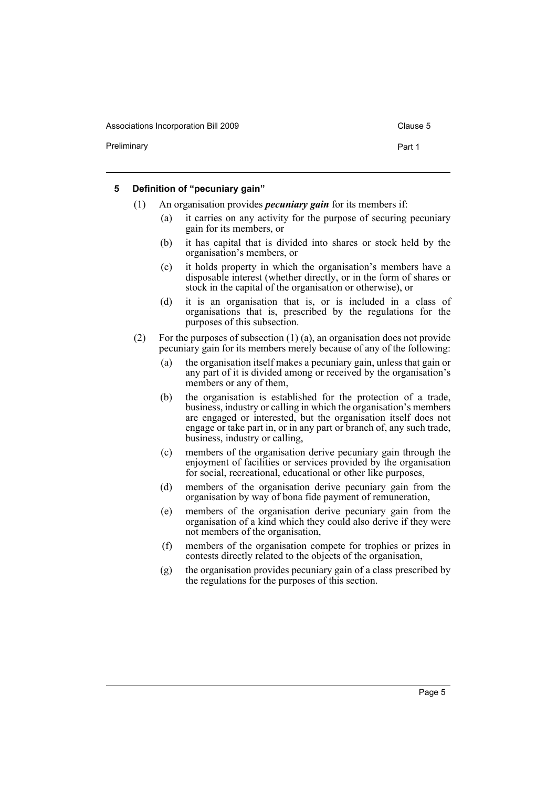Associations Incorporation Bill 2009 Clause 5

Preliminary **Preliminary Part 1** 

#### <span id="page-9-0"></span>**5 Definition of "pecuniary gain"**

- (1) An organisation provides *pecuniary gain* for its members if:
	- (a) it carries on any activity for the purpose of securing pecuniary gain for its members, or
	- (b) it has capital that is divided into shares or stock held by the organisation's members, or
	- (c) it holds property in which the organisation's members have a disposable interest (whether directly, or in the form of shares or stock in the capital of the organisation or otherwise), or
	- (d) it is an organisation that is, or is included in a class of organisations that is, prescribed by the regulations for the purposes of this subsection.
- (2) For the purposes of subsection (1) (a), an organisation does not provide pecuniary gain for its members merely because of any of the following:
	- (a) the organisation itself makes a pecuniary gain, unless that gain or any part of it is divided among or received by the organisation's members or any of them,
	- (b) the organisation is established for the protection of a trade, business, industry or calling in which the organisation's members are engaged or interested, but the organisation itself does not engage or take part in, or in any part or branch of, any such trade, business, industry or calling,
	- (c) members of the organisation derive pecuniary gain through the enjoyment of facilities or services provided by the organisation for social, recreational, educational or other like purposes,
	- (d) members of the organisation derive pecuniary gain from the organisation by way of bona fide payment of remuneration,
	- (e) members of the organisation derive pecuniary gain from the organisation of a kind which they could also derive if they were not members of the organisation,
	- (f) members of the organisation compete for trophies or prizes in contests directly related to the objects of the organisation,
	- (g) the organisation provides pecuniary gain of a class prescribed by the regulations for the purposes of this section.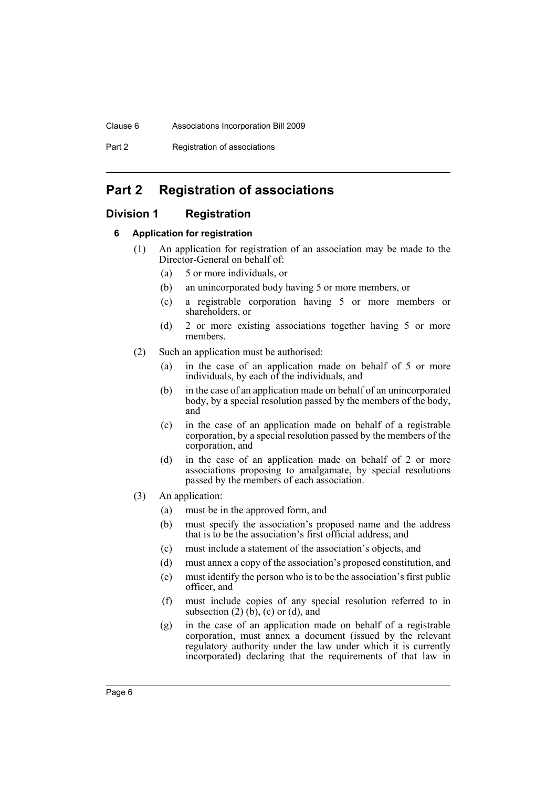## Clause 6 Associations Incorporation Bill 2009

Part 2 Registration of associations

# <span id="page-10-0"></span>**Part 2 Registration of associations**

## <span id="page-10-2"></span><span id="page-10-1"></span>**Division 1 Registration**

## **6 Application for registration**

- (1) An application for registration of an association may be made to the Director-General on behalf of:
	- (a) 5 or more individuals, or
	- (b) an unincorporated body having 5 or more members, or
	- (c) a registrable corporation having 5 or more members or shareholders, or
	- (d) 2 or more existing associations together having 5 or more members.
- (2) Such an application must be authorised:
	- (a) in the case of an application made on behalf of 5 or more individuals, by each of the individuals, and
	- (b) in the case of an application made on behalf of an unincorporated body, by a special resolution passed by the members of the body, and
	- (c) in the case of an application made on behalf of a registrable corporation, by a special resolution passed by the members of the corporation, and
	- (d) in the case of an application made on behalf of 2 or more associations proposing to amalgamate, by special resolutions passed by the members of each association.
- (3) An application:
	- (a) must be in the approved form, and
	- (b) must specify the association's proposed name and the address that is to be the association's first official address, and
	- (c) must include a statement of the association's objects, and
	- (d) must annex a copy of the association's proposed constitution, and
	- (e) must identify the person who is to be the association's first public officer, and
	- (f) must include copies of any special resolution referred to in subsection  $(2)$  (b),  $(c)$  or  $(d)$ , and
	- (g) in the case of an application made on behalf of a registrable corporation, must annex a document (issued by the relevant regulatory authority under the law under which it is currently incorporated) declaring that the requirements of that law in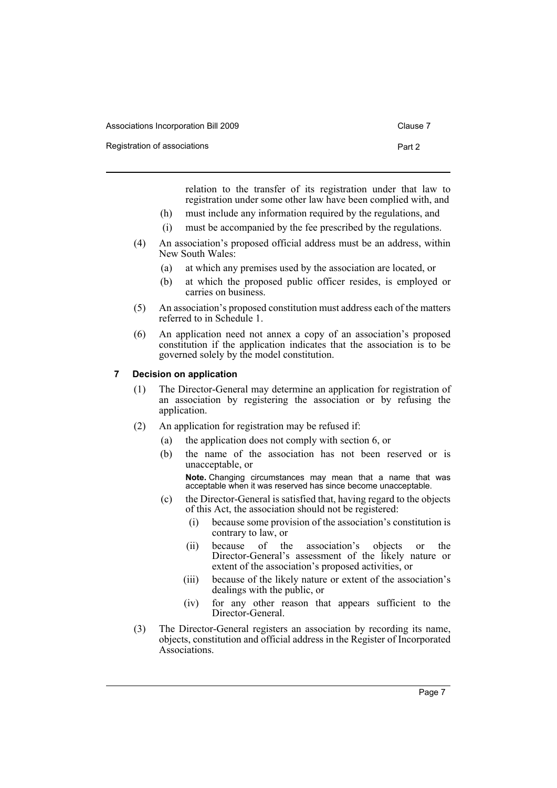| Associations Incorporation Bill 2009 | Clause 7 |
|--------------------------------------|----------|
|                                      |          |

Registration of associations **Part 2** 

relation to the transfer of its registration under that law to registration under some other law have been complied with, and

- (h) must include any information required by the regulations, and
- (i) must be accompanied by the fee prescribed by the regulations.
- (4) An association's proposed official address must be an address, within New South Wales:
	- (a) at which any premises used by the association are located, or
	- (b) at which the proposed public officer resides, is employed or carries on business.
- (5) An association's proposed constitution must address each of the matters referred to in Schedule 1.
- (6) An application need not annex a copy of an association's proposed constitution if the application indicates that the association is to be governed solely by the model constitution.

### <span id="page-11-0"></span>**7 Decision on application**

- (1) The Director-General may determine an application for registration of an association by registering the association or by refusing the application.
- (2) An application for registration may be refused if:
	- (a) the application does not comply with section 6, or
	- (b) the name of the association has not been reserved or is unacceptable, or

**Note.** Changing circumstances may mean that a name that was acceptable when it was reserved has since become unacceptable.

- (c) the Director-General is satisfied that, having regard to the objects of this Act, the association should not be registered:
	- (i) because some provision of the association's constitution is contrary to law, or
	- (ii) because of the association's objects or the Director-General's assessment of the likely nature or extent of the association's proposed activities, or
	- (iii) because of the likely nature or extent of the association's dealings with the public, or
	- (iv) for any other reason that appears sufficient to the Director-General.
- (3) The Director-General registers an association by recording its name, objects, constitution and official address in the Register of Incorporated Associations.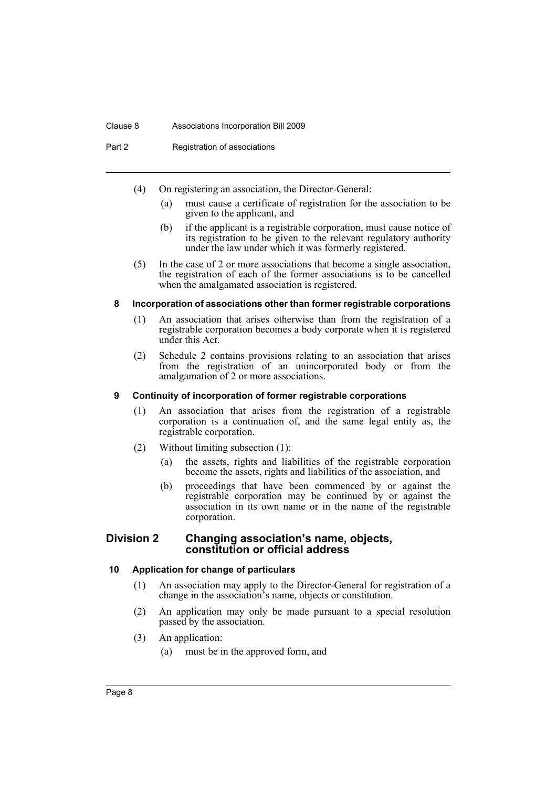#### Clause 8 Associations Incorporation Bill 2009

Part 2 Registration of associations

- (4) On registering an association, the Director-General:
	- (a) must cause a certificate of registration for the association to be given to the applicant, and
	- (b) if the applicant is a registrable corporation, must cause notice of its registration to be given to the relevant regulatory authority under the law under which it was formerly registered.
- (5) In the case of 2 or more associations that become a single association, the registration of each of the former associations is to be cancelled when the amalgamated association is registered.

#### <span id="page-12-0"></span>**8 Incorporation of associations other than former registrable corporations**

- (1) An association that arises otherwise than from the registration of a registrable corporation becomes a body corporate when it is registered under this Act.
- (2) Schedule 2 contains provisions relating to an association that arises from the registration of an unincorporated body or from the amalgamation of 2 or more associations.

#### <span id="page-12-1"></span>**9 Continuity of incorporation of former registrable corporations**

- (1) An association that arises from the registration of a registrable corporation is a continuation of, and the same legal entity as, the registrable corporation.
- (2) Without limiting subsection (1):
	- (a) the assets, rights and liabilities of the registrable corporation become the assets, rights and liabilities of the association, and
	- (b) proceedings that have been commenced by or against the registrable corporation may be continued by or against the association in its own name or in the name of the registrable corporation.

### <span id="page-12-2"></span>**Division 2 Changing association's name, objects, constitution or official address**

### <span id="page-12-3"></span>**10 Application for change of particulars**

- (1) An association may apply to the Director-General for registration of a change in the association's name, objects or constitution.
- (2) An application may only be made pursuant to a special resolution passed by the association.
- (3) An application:
	- (a) must be in the approved form, and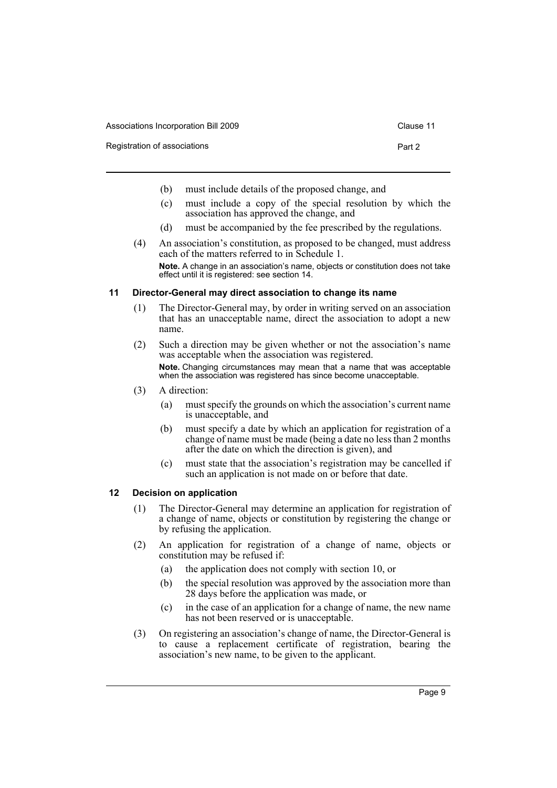| Associations Incorporation Bill 2009<br>Clause 11 |
|---------------------------------------------------|
|---------------------------------------------------|

Registration of associations **Part 2 Part 2** 

- 
- (b) must include details of the proposed change, and
- (c) must include a copy of the special resolution by which the association has approved the change, and
- (d) must be accompanied by the fee prescribed by the regulations.
- (4) An association's constitution, as proposed to be changed, must address each of the matters referred to in Schedule 1. **Note.** A change in an association's name, objects or constitution does not take effect until it is registered: see section 14.

#### <span id="page-13-0"></span>**11 Director-General may direct association to change its name**

- (1) The Director-General may, by order in writing served on an association that has an unacceptable name, direct the association to adopt a new name.
- (2) Such a direction may be given whether or not the association's name was acceptable when the association was registered. **Note.** Changing circumstances may mean that a name that was acceptable when the association was registered has since become unacceptable.
- (3) A direction:
	- (a) must specify the grounds on which the association's current name is unacceptable, and
	- (b) must specify a date by which an application for registration of a change of name must be made (being a date no less than 2 months after the date on which the direction is given), and
	- (c) must state that the association's registration may be cancelled if such an application is not made on or before that date.

#### <span id="page-13-1"></span>**12 Decision on application**

- (1) The Director-General may determine an application for registration of a change of name, objects or constitution by registering the change or by refusing the application.
- (2) An application for registration of a change of name, objects or constitution may be refused if:
	- (a) the application does not comply with section 10, or
	- (b) the special resolution was approved by the association more than 28 days before the application was made, or
	- (c) in the case of an application for a change of name, the new name has not been reserved or is unacceptable.
- (3) On registering an association's change of name, the Director-General is to cause a replacement certificate of registration, bearing the association's new name, to be given to the applicant.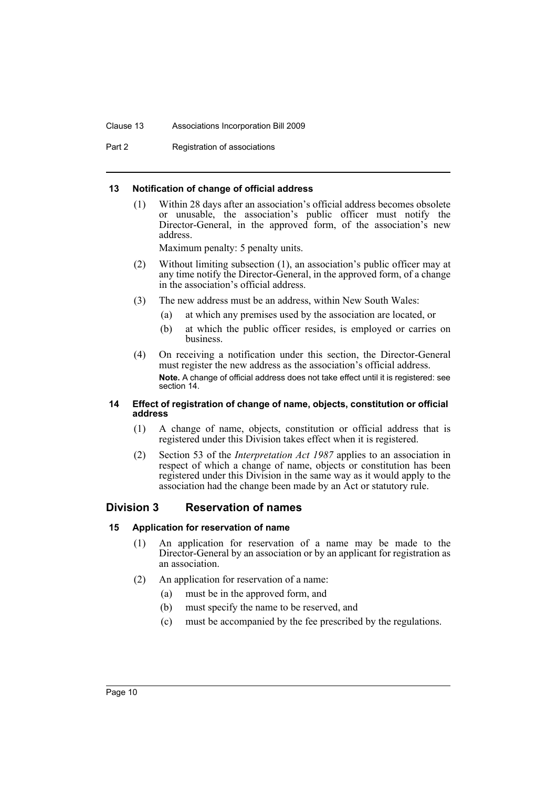#### Clause 13 Associations Incorporation Bill 2009

Part 2 Registration of associations

#### <span id="page-14-0"></span>**13 Notification of change of official address**

(1) Within 28 days after an association's official address becomes obsolete or unusable, the association's public officer must notify the Director-General, in the approved form, of the association's new address.

Maximum penalty: 5 penalty units.

- (2) Without limiting subsection (1), an association's public officer may at any time notify the Director-General, in the approved form, of a change in the association's official address.
- (3) The new address must be an address, within New South Wales:
	- (a) at which any premises used by the association are located, or
	- (b) at which the public officer resides, is employed or carries on business.
- (4) On receiving a notification under this section, the Director-General must register the new address as the association's official address. **Note.** A change of official address does not take effect until it is registered: see section 14.

#### <span id="page-14-1"></span>**14 Effect of registration of change of name, objects, constitution or official address**

- (1) A change of name, objects, constitution or official address that is registered under this Division takes effect when it is registered.
- (2) Section 53 of the *Interpretation Act 1987* applies to an association in respect of which a change of name, objects or constitution has been registered under this Division in the same way as it would apply to the association had the change been made by an Act or statutory rule.

## <span id="page-14-2"></span>**Division 3 Reservation of names**

### <span id="page-14-3"></span>**15 Application for reservation of name**

- (1) An application for reservation of a name may be made to the Director-General by an association or by an applicant for registration as an association.
- (2) An application for reservation of a name:
	- (a) must be in the approved form, and
	- (b) must specify the name to be reserved, and
	- (c) must be accompanied by the fee prescribed by the regulations.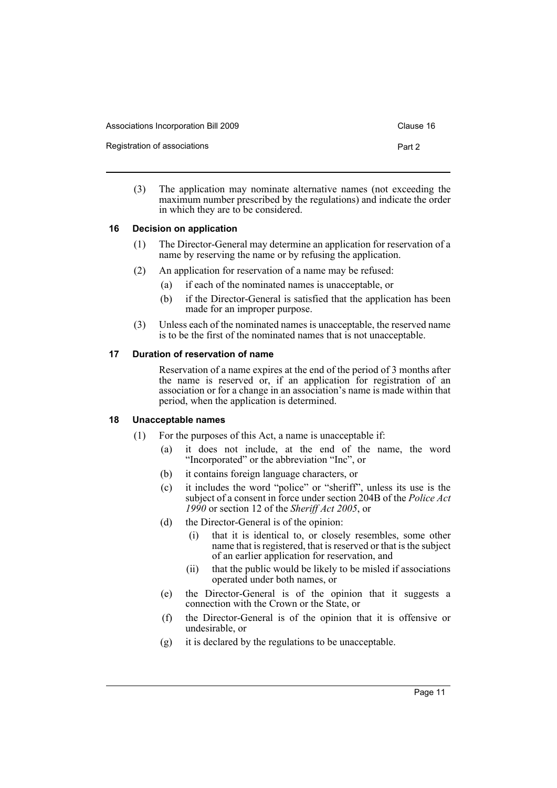| Associations Incorporation Bill 2009 | Clause 16 |
|--------------------------------------|-----------|
| Registration of associations         | Part 2    |

(3) The application may nominate alternative names (not exceeding the maximum number prescribed by the regulations) and indicate the order in which they are to be considered.

### <span id="page-15-0"></span>**16 Decision on application**

- (1) The Director-General may determine an application for reservation of a name by reserving the name or by refusing the application.
- (2) An application for reservation of a name may be refused:
	- (a) if each of the nominated names is unacceptable, or
	- (b) if the Director-General is satisfied that the application has been made for an improper purpose.
- (3) Unless each of the nominated names is unacceptable, the reserved name is to be the first of the nominated names that is not unacceptable.

## <span id="page-15-1"></span>**17 Duration of reservation of name**

Reservation of a name expires at the end of the period of 3 months after the name is reserved or, if an application for registration of an association or for a change in an association's name is made within that period, when the application is determined.

### <span id="page-15-2"></span>**18 Unacceptable names**

- (1) For the purposes of this Act, a name is unacceptable if:
	- (a) it does not include, at the end of the name, the word "Incorporated" or the abbreviation "Inc", or
	- (b) it contains foreign language characters, or
	- (c) it includes the word "police" or "sheriff", unless its use is the subject of a consent in force under section 204B of the *Police Act 1990* or section 12 of the *Sheriff Act 2005*, or
	- (d) the Director-General is of the opinion:
		- (i) that it is identical to, or closely resembles, some other name that is registered, that is reserved or that is the subject of an earlier application for reservation, and
		- (ii) that the public would be likely to be misled if associations operated under both names, or
	- (e) the Director-General is of the opinion that it suggests a connection with the Crown or the State, or
	- (f) the Director-General is of the opinion that it is offensive or undesirable, or
	- (g) it is declared by the regulations to be unacceptable.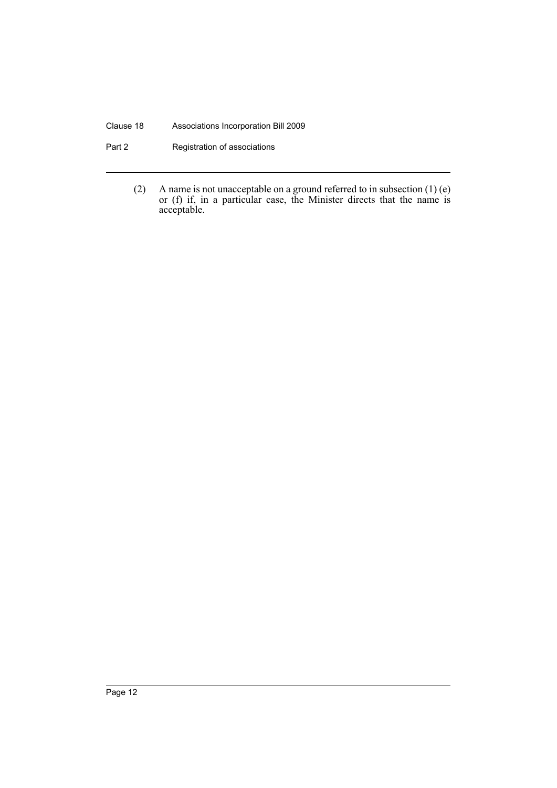#### Clause 18 Associations Incorporation Bill 2009

- Part 2 **Registration of associations** 
	- (2) A name is not unacceptable on a ground referred to in subsection  $(1)$  (e) or (f) if, in a particular case, the Minister directs that the name is acceptable.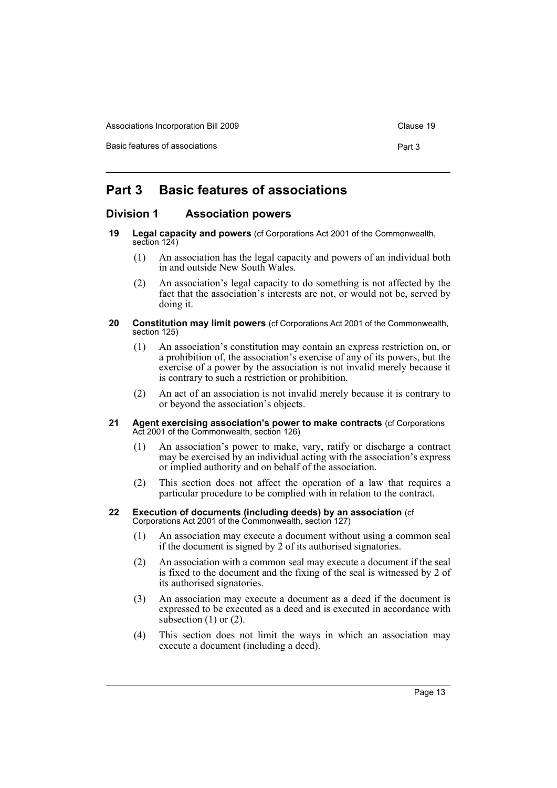Associations Incorporation Bill 2009 Clause 19

Basic features of associations **Part 3** 

# <span id="page-17-0"></span>**Part 3 Basic features of associations**

## <span id="page-17-1"></span>**Division 1 Association powers**

- <span id="page-17-2"></span>**19 Legal capacity and powers** (cf Corporations Act 2001 of the Commonwealth, section 124)
	- (1) An association has the legal capacity and powers of an individual both in and outside New South Wales.
	- (2) An association's legal capacity to do something is not affected by the fact that the association's interests are not, or would not be, served by doing it.

#### <span id="page-17-3"></span>**20 Constitution may limit powers** (cf Corporations Act 2001 of the Commonwealth, section 125)

- (1) An association's constitution may contain an express restriction on, or a prohibition of, the association's exercise of any of its powers, but the exercise of a power by the association is not invalid merely because it is contrary to such a restriction or prohibition.
- (2) An act of an association is not invalid merely because it is contrary to or beyond the association's objects.
- <span id="page-17-4"></span>**21 Agent exercising association's power to make contracts (cf Corporations)** Act 2001 of the Commonwealth, section 126)
	- (1) An association's power to make, vary, ratify or discharge a contract may be exercised by an individual acting with the association's express or implied authority and on behalf of the association.
	- (2) This section does not affect the operation of a law that requires a particular procedure to be complied with in relation to the contract.

#### <span id="page-17-5"></span>**22 Execution of documents (including deeds) by an association** (cf Corporations Act 2001 of the Commonwealth, section 127)

- (1) An association may execute a document without using a common seal if the document is signed by 2 of its authorised signatories.
- (2) An association with a common seal may execute a document if the seal is fixed to the document and the fixing of the seal is witnessed by 2 of its authorised signatories.
- (3) An association may execute a document as a deed if the document is expressed to be executed as a deed and is executed in accordance with subsection  $(1)$  or  $(2)$ .
- (4) This section does not limit the ways in which an association may execute a document (including a deed).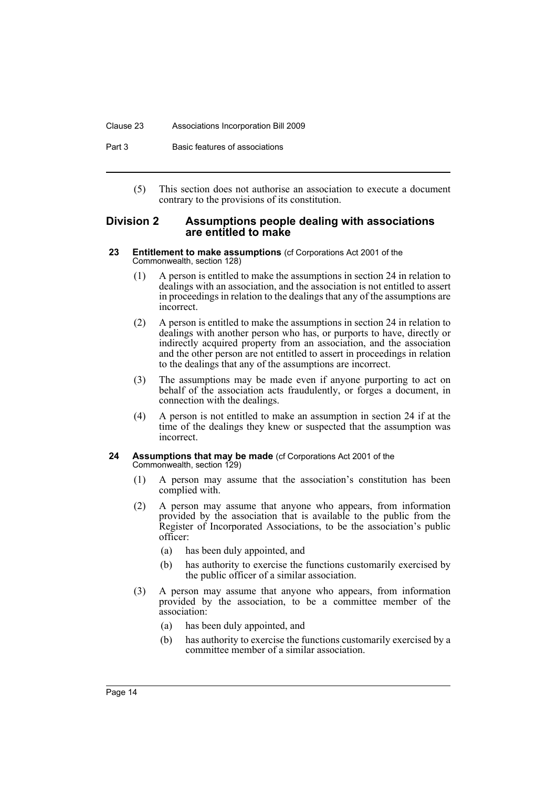#### Clause 23 Associations Incorporation Bill 2009

Part 3 Basic features of associations

(5) This section does not authorise an association to execute a document contrary to the provisions of its constitution.

### <span id="page-18-0"></span>**Division 2 Assumptions people dealing with associations are entitled to make**

- <span id="page-18-1"></span>**23 Entitlement to make assumptions** (cf Corporations Act 2001 of the Commonwealth, section 128)
	- (1) A person is entitled to make the assumptions in section 24 in relation to dealings with an association, and the association is not entitled to assert in proceedings in relation to the dealings that any of the assumptions are incorrect.
	- (2) A person is entitled to make the assumptions in section 24 in relation to dealings with another person who has, or purports to have, directly or indirectly acquired property from an association, and the association and the other person are not entitled to assert in proceedings in relation to the dealings that any of the assumptions are incorrect.
	- (3) The assumptions may be made even if anyone purporting to act on behalf of the association acts fraudulently, or forges a document, in connection with the dealings.
	- (4) A person is not entitled to make an assumption in section 24 if at the time of the dealings they knew or suspected that the assumption was incorrect.

#### <span id="page-18-2"></span>**24 Assumptions that may be made** (cf Corporations Act 2001 of the Commonwealth, section 129)

- (1) A person may assume that the association's constitution has been complied with.
- (2) A person may assume that anyone who appears, from information provided by the association that is available to the public from the Register of Incorporated Associations, to be the association's public officer:
	- (a) has been duly appointed, and
	- (b) has authority to exercise the functions customarily exercised by the public officer of a similar association.
- (3) A person may assume that anyone who appears, from information provided by the association, to be a committee member of the association:
	- (a) has been duly appointed, and
	- (b) has authority to exercise the functions customarily exercised by a committee member of a similar association.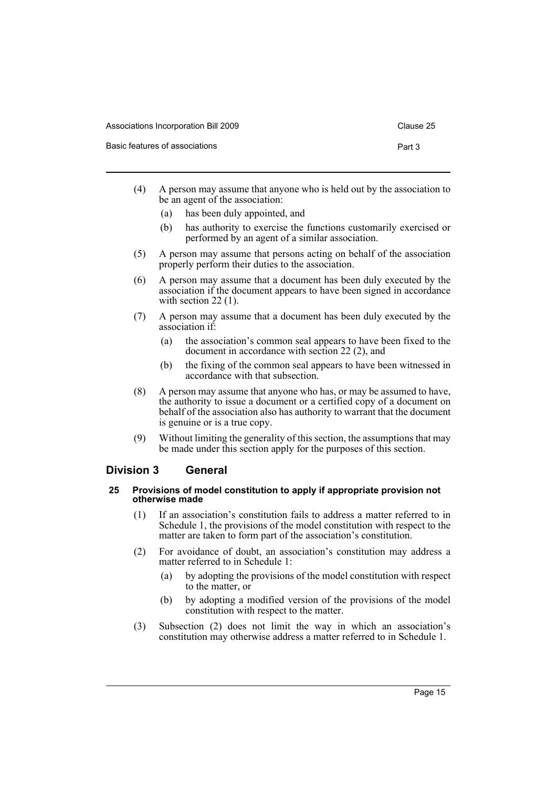| Associations Incorporation Bill 2009 | Clause 25 |
|--------------------------------------|-----------|
| Basic features of associations       | Part 3    |

- (4) A person may assume that anyone who is held out by the association to be an agent of the association:
	- (a) has been duly appointed, and
	- (b) has authority to exercise the functions customarily exercised or performed by an agent of a similar association.
- (5) A person may assume that persons acting on behalf of the association properly perform their duties to the association.
- (6) A person may assume that a document has been duly executed by the association if the document appears to have been signed in accordance with section 22 (1).
- (7) A person may assume that a document has been duly executed by the association if:
	- (a) the association's common seal appears to have been fixed to the document in accordance with section 22 (2), and
	- (b) the fixing of the common seal appears to have been witnessed in accordance with that subsection.
- (8) A person may assume that anyone who has, or may be assumed to have, the authority to issue a document or a certified copy of a document on behalf of the association also has authority to warrant that the document is genuine or is a true copy.
- (9) Without limiting the generality of this section, the assumptions that may be made under this section apply for the purposes of this section.

## <span id="page-19-0"></span>**Division 3 General**

#### <span id="page-19-1"></span>**25 Provisions of model constitution to apply if appropriate provision not otherwise made**

- (1) If an association's constitution fails to address a matter referred to in Schedule 1, the provisions of the model constitution with respect to the matter are taken to form part of the association's constitution.
- (2) For avoidance of doubt, an association's constitution may address a matter referred to in Schedule 1:
	- (a) by adopting the provisions of the model constitution with respect to the matter, or
	- (b) by adopting a modified version of the provisions of the model constitution with respect to the matter.
- (3) Subsection (2) does not limit the way in which an association's constitution may otherwise address a matter referred to in Schedule 1.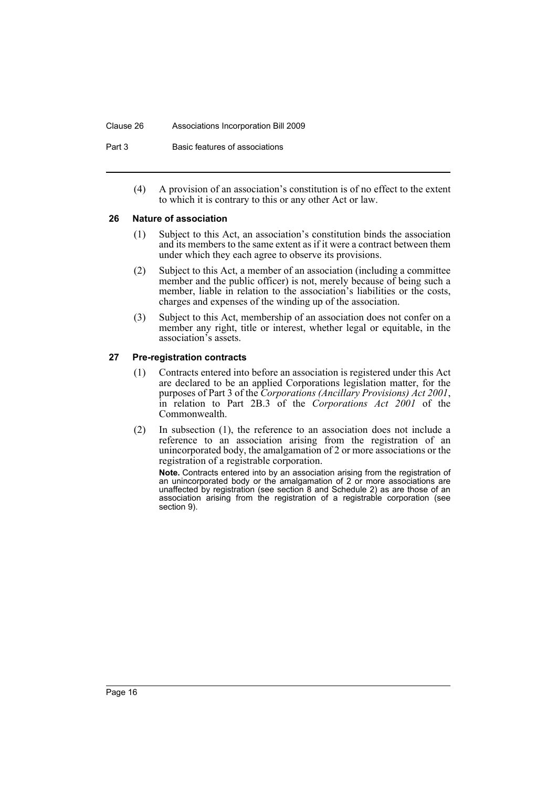#### Clause 26 Associations Incorporation Bill 2009

Part 3 Basic features of associations

(4) A provision of an association's constitution is of no effect to the extent to which it is contrary to this or any other Act or law.

#### <span id="page-20-0"></span>**26 Nature of association**

- (1) Subject to this Act, an association's constitution binds the association and its members to the same extent as if it were a contract between them under which they each agree to observe its provisions.
- (2) Subject to this Act, a member of an association (including a committee member and the public officer) is not, merely because of being such a member, liable in relation to the association's liabilities or the costs, charges and expenses of the winding up of the association.
- (3) Subject to this Act, membership of an association does not confer on a member any right, title or interest, whether legal or equitable, in the association's assets.

### <span id="page-20-1"></span>**27 Pre-registration contracts**

- (1) Contracts entered into before an association is registered under this Act are declared to be an applied Corporations legislation matter, for the purposes of Part 3 of the *Corporations (Ancillary Provisions) Act 2001*, in relation to Part 2B.3 of the *Corporations Act 2001* of the Commonwealth.
- (2) In subsection (1), the reference to an association does not include a reference to an association arising from the registration of an unincorporated body, the amalgamation of 2 or more associations or the registration of a registrable corporation.

**Note.** Contracts entered into by an association arising from the registration of an unincorporated body or the amalgamation of 2 or more associations are unaffected by registration (see section 8 and Schedule 2) as are those of an association arising from the registration of a registrable corporation (see section 9).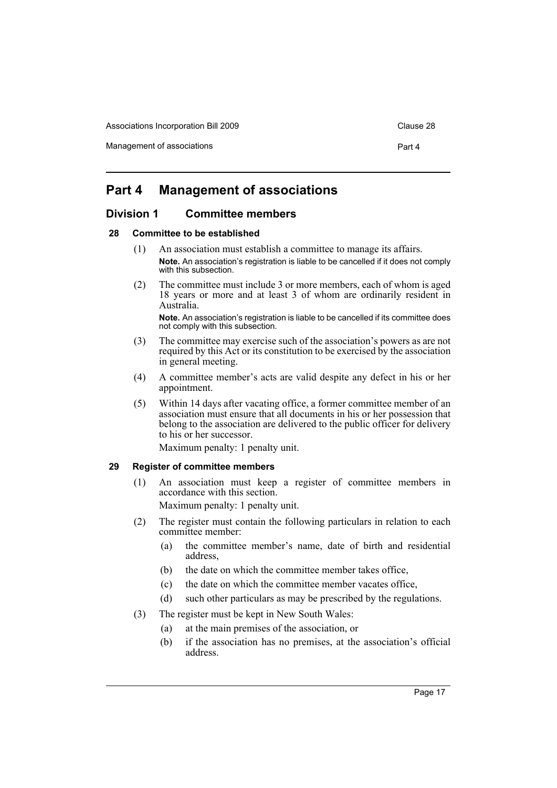Associations Incorporation Bill 2009 Clause 28

Management of associations **Part 4** and 2008 and 2008 and 2008 and 2008 and 2008 and 2008 and 2008 and 2008 and 2008 and 2008 and 2008 and 2008 and 2008 and 2008 and 2008 and 2008 and 2008 and 2008 and 2008 and 2008 and 20

## <span id="page-21-0"></span>**Part 4 Management of associations**

## <span id="page-21-1"></span>**Division 1 Committee members**

#### <span id="page-21-2"></span>**28 Committee to be established**

- (1) An association must establish a committee to manage its affairs. **Note.** An association's registration is liable to be cancelled if it does not comply with this subsection.
- (2) The committee must include 3 or more members, each of whom is aged 18 years or more and at least 3 of whom are ordinarily resident in Australia.

**Note.** An association's registration is liable to be cancelled if its committee does not comply with this subsection.

- (3) The committee may exercise such of the association's powers as are not required by this Act or its constitution to be exercised by the association in general meeting.
- (4) A committee member's acts are valid despite any defect in his or her appointment.
- (5) Within 14 days after vacating office, a former committee member of an association must ensure that all documents in his or her possession that belong to the association are delivered to the public officer for delivery to his or her successor.

Maximum penalty: 1 penalty unit.

## <span id="page-21-3"></span>**29 Register of committee members**

(1) An association must keep a register of committee members in accordance with this section.

Maximum penalty: 1 penalty unit.

- (2) The register must contain the following particulars in relation to each committee member:
	- (a) the committee member's name, date of birth and residential address,
	- (b) the date on which the committee member takes office
	- (c) the date on which the committee member vacates office,
	- (d) such other particulars as may be prescribed by the regulations.
- (3) The register must be kept in New South Wales:
	- (a) at the main premises of the association, or
	- (b) if the association has no premises, at the association's official address.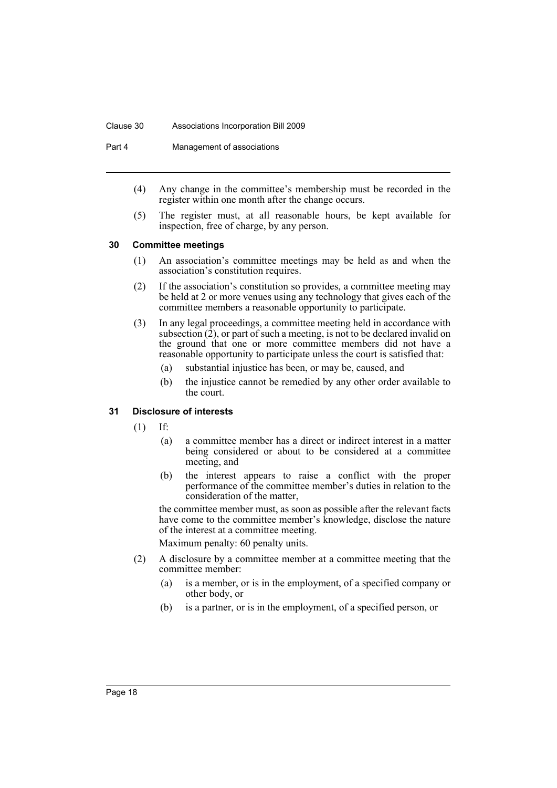#### Clause 30 Associations Incorporation Bill 2009

Part 4 Management of associations

- (4) Any change in the committee's membership must be recorded in the register within one month after the change occurs.
- (5) The register must, at all reasonable hours, be kept available for inspection, free of charge, by any person.

#### <span id="page-22-0"></span>**30 Committee meetings**

- (1) An association's committee meetings may be held as and when the association's constitution requires.
- (2) If the association's constitution so provides, a committee meeting may be held at 2 or more venues using any technology that gives each of the committee members a reasonable opportunity to participate.
- (3) In any legal proceedings, a committee meeting held in accordance with subsection  $(2)$ , or part of such a meeting, is not to be declared invalid on the ground that one or more committee members did not have a reasonable opportunity to participate unless the court is satisfied that:
	- (a) substantial injustice has been, or may be, caused, and
	- (b) the injustice cannot be remedied by any other order available to the court.

### <span id="page-22-1"></span>**31 Disclosure of interests**

- (1) If:
	- (a) a committee member has a direct or indirect interest in a matter being considered or about to be considered at a committee meeting, and
	- (b) the interest appears to raise a conflict with the proper performance of the committee member's duties in relation to the consideration of the matter,

the committee member must, as soon as possible after the relevant facts have come to the committee member's knowledge, disclose the nature of the interest at a committee meeting.

Maximum penalty: 60 penalty units.

- (2) A disclosure by a committee member at a committee meeting that the committee member:
	- (a) is a member, or is in the employment, of a specified company or other body, or
	- (b) is a partner, or is in the employment, of a specified person, or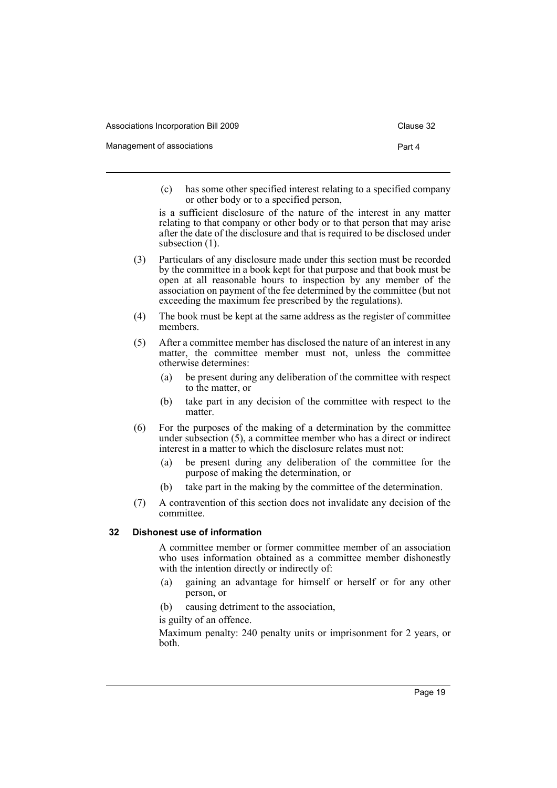| Associations Incorporation Bill 2009 | Clause 32 |
|--------------------------------------|-----------|
| Management of associations           | Part 4    |

(c) has some other specified interest relating to a specified company or other body or to a specified person,

is a sufficient disclosure of the nature of the interest in any matter relating to that company or other body or to that person that may arise after the date of the disclosure and that is required to be disclosed under subsection  $(1)$ .

- (3) Particulars of any disclosure made under this section must be recorded by the committee in a book kept for that purpose and that book must be open at all reasonable hours to inspection by any member of the association on payment of the fee determined by the committee (but not exceeding the maximum fee prescribed by the regulations).
- (4) The book must be kept at the same address as the register of committee members.
- (5) After a committee member has disclosed the nature of an interest in any matter, the committee member must not, unless the committee otherwise determines:
	- (a) be present during any deliberation of the committee with respect to the matter, or
	- (b) take part in any decision of the committee with respect to the matter.
- (6) For the purposes of the making of a determination by the committee under subsection (5), a committee member who has a direct or indirect interest in a matter to which the disclosure relates must not:
	- (a) be present during any deliberation of the committee for the purpose of making the determination, or
	- (b) take part in the making by the committee of the determination.
- (7) A contravention of this section does not invalidate any decision of the committee.

## <span id="page-23-0"></span>**32 Dishonest use of information**

A committee member or former committee member of an association who uses information obtained as a committee member dishonestly with the intention directly or indirectly of:

- (a) gaining an advantage for himself or herself or for any other person, or
- (b) causing detriment to the association,

## is guilty of an offence.

Maximum penalty: 240 penalty units or imprisonment for 2 years, or both.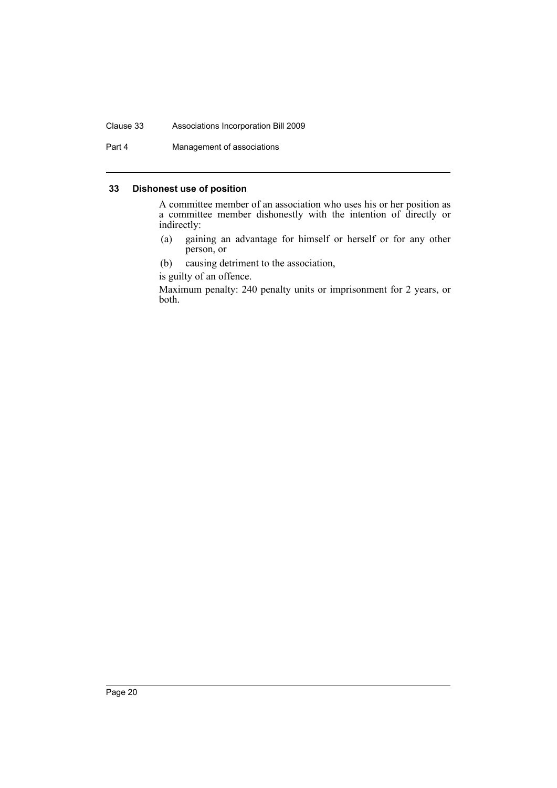#### Clause 33 Associations Incorporation Bill 2009

Part 4 Management of associations

#### <span id="page-24-0"></span>**33 Dishonest use of position**

A committee member of an association who uses his or her position as a committee member dishonestly with the intention of directly or indirectly:

- (a) gaining an advantage for himself or herself or for any other person, or
- (b) causing detriment to the association,

is guilty of an offence.

Maximum penalty: 240 penalty units or imprisonment for 2 years, or both.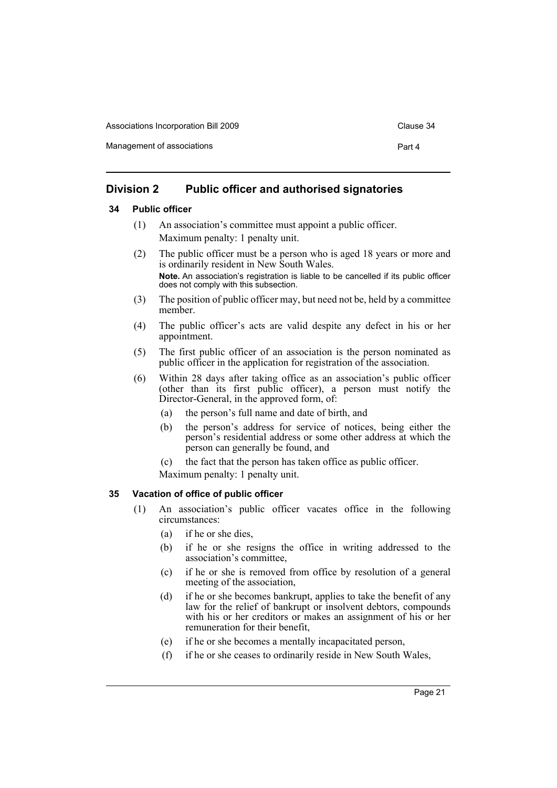| Associations Incorporation Bill 2009 | Clause 34 |
|--------------------------------------|-----------|
| Management of associations           | Part 4    |

## <span id="page-25-0"></span>**Division 2 Public officer and authorised signatories**

## <span id="page-25-1"></span>**34 Public officer**

- (1) An association's committee must appoint a public officer. Maximum penalty: 1 penalty unit.
- (2) The public officer must be a person who is aged 18 years or more and is ordinarily resident in New South Wales. **Note.** An association's registration is liable to be cancelled if its public officer does not comply with this subsection.
- (3) The position of public officer may, but need not be, held by a committee member.
- (4) The public officer's acts are valid despite any defect in his or her appointment.
- (5) The first public officer of an association is the person nominated as public officer in the application for registration of the association.
- (6) Within 28 days after taking office as an association's public officer (other than its first public officer), a person must notify the Director-General, in the approved form, of:
	- (a) the person's full name and date of birth, and
	- (b) the person's address for service of notices, being either the person's residential address or some other address at which the person can generally be found, and
	- (c) the fact that the person has taken office as public officer.

Maximum penalty: 1 penalty unit.

### <span id="page-25-2"></span>**35 Vacation of office of public officer**

- (1) An association's public officer vacates office in the following circumstances:
	- (a) if he or she dies,
	- (b) if he or she resigns the office in writing addressed to the association's committee,
	- (c) if he or she is removed from office by resolution of a general meeting of the association,
	- (d) if he or she becomes bankrupt, applies to take the benefit of any law for the relief of bankrupt or insolvent debtors, compounds with his or her creditors or makes an assignment of his or her remuneration for their benefit,
	- (e) if he or she becomes a mentally incapacitated person,
	- (f) if he or she ceases to ordinarily reside in New South Wales,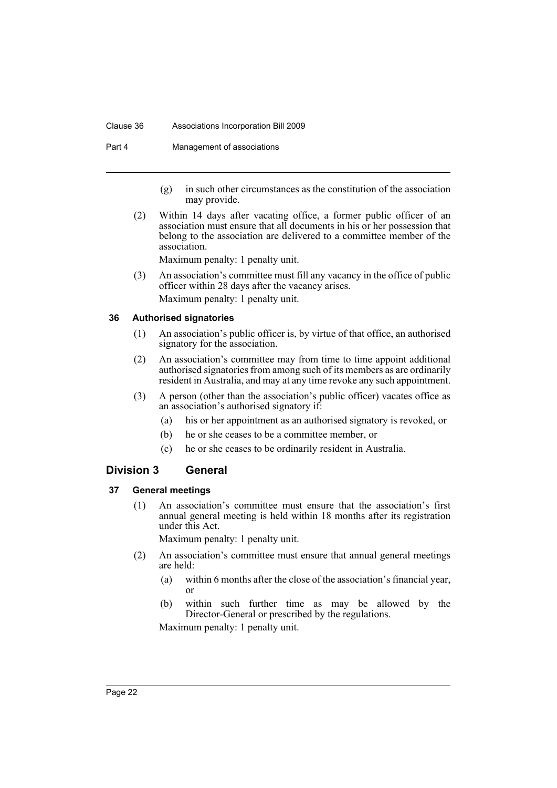#### Clause 36 Associations Incorporation Bill 2009

Part 4 Management of associations

- (g) in such other circumstances as the constitution of the association may provide.
- (2) Within 14 days after vacating office, a former public officer of an association must ensure that all documents in his or her possession that belong to the association are delivered to a committee member of the association.

Maximum penalty: 1 penalty unit.

(3) An association's committee must fill any vacancy in the office of public officer within 28 days after the vacancy arises. Maximum penalty: 1 penalty unit.

### <span id="page-26-0"></span>**36 Authorised signatories**

- (1) An association's public officer is, by virtue of that office, an authorised signatory for the association.
- (2) An association's committee may from time to time appoint additional authorised signatories from among such of its members as are ordinarily resident in Australia, and may at any time revoke any such appointment.
- (3) A person (other than the association's public officer) vacates office as an association's authorised signatory if:
	- (a) his or her appointment as an authorised signatory is revoked, or
	- (b) he or she ceases to be a committee member, or
	- (c) he or she ceases to be ordinarily resident in Australia.

### <span id="page-26-1"></span>**Division 3 General**

### <span id="page-26-2"></span>**37 General meetings**

(1) An association's committee must ensure that the association's first annual general meeting is held within 18 months after its registration under this Act.

Maximum penalty: 1 penalty unit.

- (2) An association's committee must ensure that annual general meetings are held:
	- (a) within 6 months after the close of the association's financial year, or
	- (b) within such further time as may be allowed by the Director-General or prescribed by the regulations.

Maximum penalty: 1 penalty unit.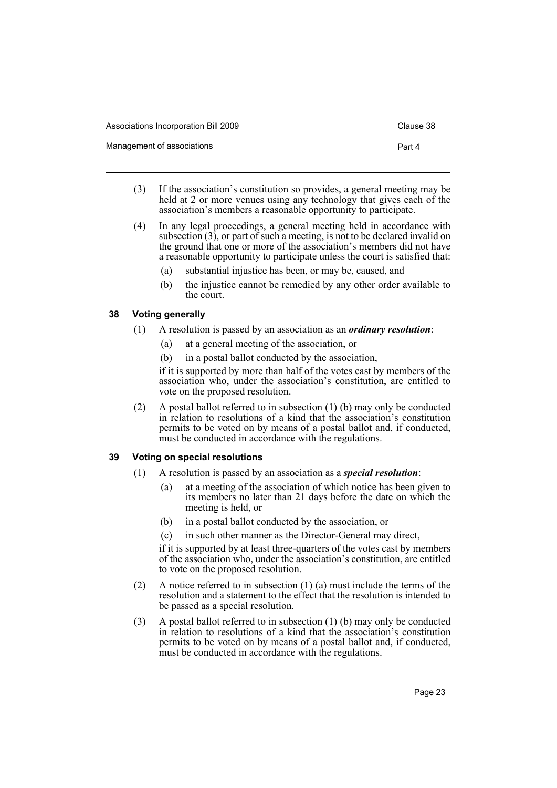| Associations Incorporation Bill 2009 | Clause 38 |
|--------------------------------------|-----------|
| Management of associations           | Part 4    |

- (3) If the association's constitution so provides, a general meeting may be held at 2 or more venues using any technology that gives each of the association's members a reasonable opportunity to participate.
- (4) In any legal proceedings, a general meeting held in accordance with subsection (3), or part of such a meeting, is not to be declared invalid on the ground that one or more of the association's members did not have a reasonable opportunity to participate unless the court is satisfied that:
	- (a) substantial injustice has been, or may be, caused, and
	- (b) the injustice cannot be remedied by any other order available to the court.

## <span id="page-27-0"></span>**38 Voting generally**

- (1) A resolution is passed by an association as an *ordinary resolution*:
	- (a) at a general meeting of the association, or
	- (b) in a postal ballot conducted by the association,

if it is supported by more than half of the votes cast by members of the association who, under the association's constitution, are entitled to vote on the proposed resolution.

(2) A postal ballot referred to in subsection (1) (b) may only be conducted in relation to resolutions of a kind that the association's constitution permits to be voted on by means of a postal ballot and, if conducted, must be conducted in accordance with the regulations.

## <span id="page-27-1"></span>**39 Voting on special resolutions**

- (1) A resolution is passed by an association as a *special resolution*:
	- (a) at a meeting of the association of which notice has been given to its members no later than 21 days before the date on which the meeting is held, or
	- (b) in a postal ballot conducted by the association, or
	- (c) in such other manner as the Director-General may direct,

if it is supported by at least three-quarters of the votes cast by members of the association who, under the association's constitution, are entitled to vote on the proposed resolution.

- (2) A notice referred to in subsection  $(1)$  (a) must include the terms of the resolution and a statement to the effect that the resolution is intended to be passed as a special resolution.
- (3) A postal ballot referred to in subsection (1) (b) may only be conducted in relation to resolutions of a kind that the association's constitution permits to be voted on by means of a postal ballot and, if conducted, must be conducted in accordance with the regulations.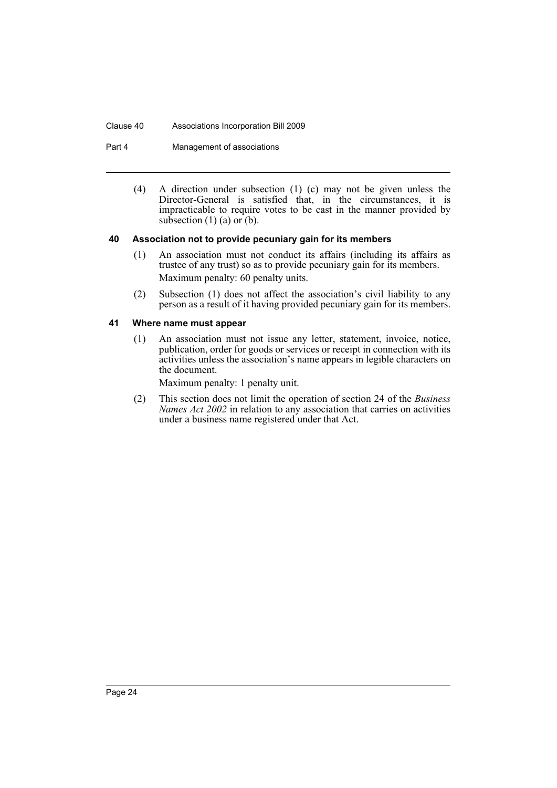#### Clause 40 Associations Incorporation Bill 2009

Part 4 Management of associations

(4) A direction under subsection (1) (c) may not be given unless the Director-General is satisfied that, in the circumstances, it is impracticable to require votes to be cast in the manner provided by subsection  $(1)$  (a) or  $(b)$ .

#### <span id="page-28-0"></span>**40 Association not to provide pecuniary gain for its members**

- (1) An association must not conduct its affairs (including its affairs as trustee of any trust) so as to provide pecuniary gain for its members. Maximum penalty: 60 penalty units.
- (2) Subsection (1) does not affect the association's civil liability to any person as a result of it having provided pecuniary gain for its members.

## <span id="page-28-1"></span>**41 Where name must appear**

(1) An association must not issue any letter, statement, invoice, notice, publication, order for goods or services or receipt in connection with its activities unless the association's name appears in legible characters on the document.

Maximum penalty: 1 penalty unit.

(2) This section does not limit the operation of section 24 of the *Business Names Act 2002* in relation to any association that carries on activities under a business name registered under that Act.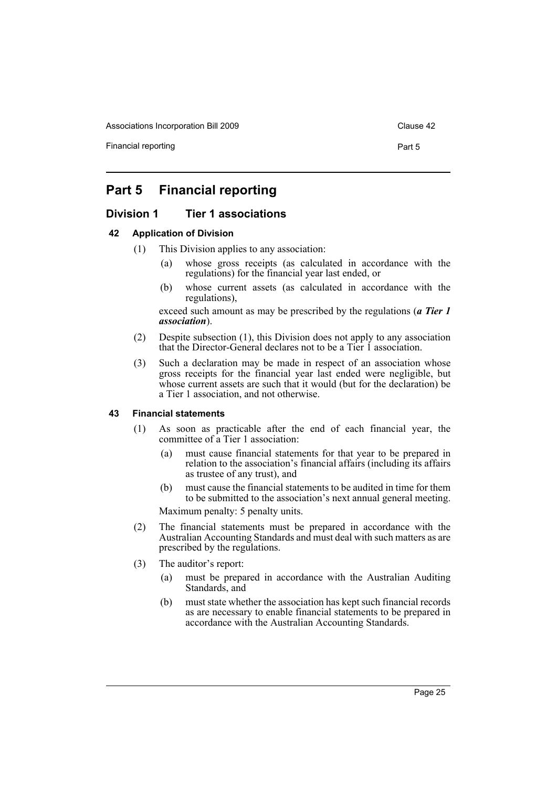Associations Incorporation Bill 2009 Clause 42

Financial reporting example of the part 5 and 2011 and 2012 and 2013 and 2013 and 2014 and 2013 and 2014 and 2013 and 2014 and 2013 and 2014 and 2013 and 2013 and 2013 and 2013 and 2013 and 2013 and 2013 and 2013 and 2013

## <span id="page-29-0"></span>**Part 5 Financial reporting**

## <span id="page-29-1"></span>**Division 1 Tier 1 associations**

#### <span id="page-29-2"></span>**42 Application of Division**

- (1) This Division applies to any association:
	- (a) whose gross receipts (as calculated in accordance with the regulations) for the financial year last ended, or
	- (b) whose current assets (as calculated in accordance with the regulations),

exceed such amount as may be prescribed by the regulations (*a Tier 1 association*).

- (2) Despite subsection (1), this Division does not apply to any association that the Director-General declares not to be a Tier 1 association.
- (3) Such a declaration may be made in respect of an association whose gross receipts for the financial year last ended were negligible, but whose current assets are such that it would (but for the declaration) be a Tier 1 association, and not otherwise.

#### <span id="page-29-3"></span>**43 Financial statements**

- (1) As soon as practicable after the end of each financial year, the committee of a Tier 1 association:
	- (a) must cause financial statements for that year to be prepared in relation to the association's financial affairs (including its affairs as trustee of any trust), and
	- (b) must cause the financial statements to be audited in time for them to be submitted to the association's next annual general meeting. Maximum penalty: 5 penalty units.
- (2) The financial statements must be prepared in accordance with the Australian Accounting Standards and must deal with such matters as are prescribed by the regulations.
- (3) The auditor's report:
	- (a) must be prepared in accordance with the Australian Auditing Standards, and
	- (b) must state whether the association has kept such financial records as are necessary to enable financial statements to be prepared in accordance with the Australian Accounting Standards.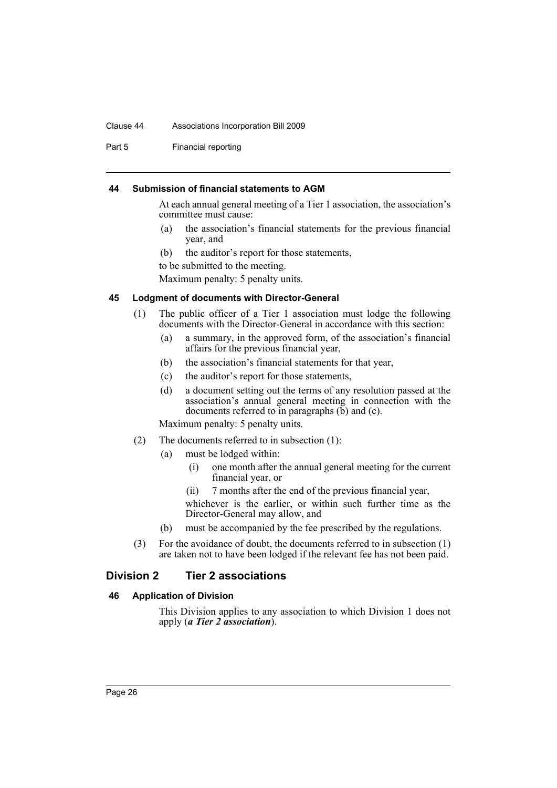#### Clause 44 Associations Incorporation Bill 2009

Part 5 Financial reporting

#### <span id="page-30-0"></span>**44 Submission of financial statements to AGM**

At each annual general meeting of a Tier 1 association, the association's committee must cause:

- (a) the association's financial statements for the previous financial year, and
- (b) the auditor's report for those statements,

to be submitted to the meeting.

Maximum penalty: 5 penalty units.

#### <span id="page-30-1"></span>**45 Lodgment of documents with Director-General**

- (1) The public officer of a Tier 1 association must lodge the following documents with the Director-General in accordance with this section:
	- (a) a summary, in the approved form, of the association's financial affairs for the previous financial year,
	- (b) the association's financial statements for that year,
	- (c) the auditor's report for those statements,
	- (d) a document setting out the terms of any resolution passed at the association's annual general meeting in connection with the documents referred to in paragraphs  $(b)$  and  $(c)$ .

Maximum penalty: 5 penalty units.

- (2) The documents referred to in subsection (1):
	- (a) must be lodged within:
		- (i) one month after the annual general meeting for the current financial year, or
		- (ii) 7 months after the end of the previous financial year,

whichever is the earlier, or within such further time as the Director-General may allow, and

- (b) must be accompanied by the fee prescribed by the regulations.
- (3) For the avoidance of doubt, the documents referred to in subsection (1) are taken not to have been lodged if the relevant fee has not been paid.

### <span id="page-30-2"></span>**Division 2 Tier 2 associations**

### <span id="page-30-3"></span>**46 Application of Division**

This Division applies to any association to which Division 1 does not apply (*a Tier 2 association*).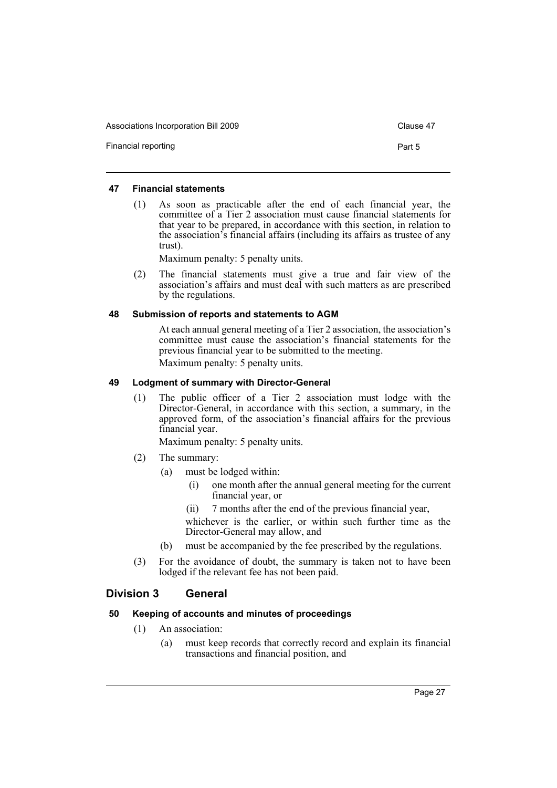Associations Incorporation Bill 2009 Clause 47

Financial reporting example of the part 5 and 2011 and 2012 and 2013 and 2013 and 2014 and 2013 and 2014 and 2013 and 2014 and 2013 and 2014 and 2013 and 2013 and 2013 and 2013 and 2013 and 2013 and 2013 and 2013 and 2013

#### <span id="page-31-0"></span>**47 Financial statements**

(1) As soon as practicable after the end of each financial year, the committee of a Tier 2 association must cause financial statements for that year to be prepared, in accordance with this section, in relation to the association's financial affairs (including its affairs as trustee of any trust).

Maximum penalty: 5 penalty units.

(2) The financial statements must give a true and fair view of the association's affairs and must deal with such matters as are prescribed by the regulations.

#### <span id="page-31-1"></span>**48 Submission of reports and statements to AGM**

At each annual general meeting of a Tier 2 association, the association's committee must cause the association's financial statements for the previous financial year to be submitted to the meeting. Maximum penalty: 5 penalty units.

#### <span id="page-31-2"></span>**49 Lodgment of summary with Director-General**

(1) The public officer of a Tier 2 association must lodge with the Director-General, in accordance with this section, a summary, in the approved form, of the association's financial affairs for the previous financial year.

Maximum penalty: 5 penalty units.

- (2) The summary:
	- (a) must be lodged within:
		- (i) one month after the annual general meeting for the current financial year, or
		- (ii) 7 months after the end of the previous financial year,
		- whichever is the earlier, or within such further time as the Director-General may allow, and
	- (b) must be accompanied by the fee prescribed by the regulations.
- (3) For the avoidance of doubt, the summary is taken not to have been lodged if the relevant fee has not been paid.

## <span id="page-31-3"></span>**Division 3 General**

### <span id="page-31-4"></span>**50 Keeping of accounts and minutes of proceedings**

- (1) An association:
	- (a) must keep records that correctly record and explain its financial transactions and financial position, and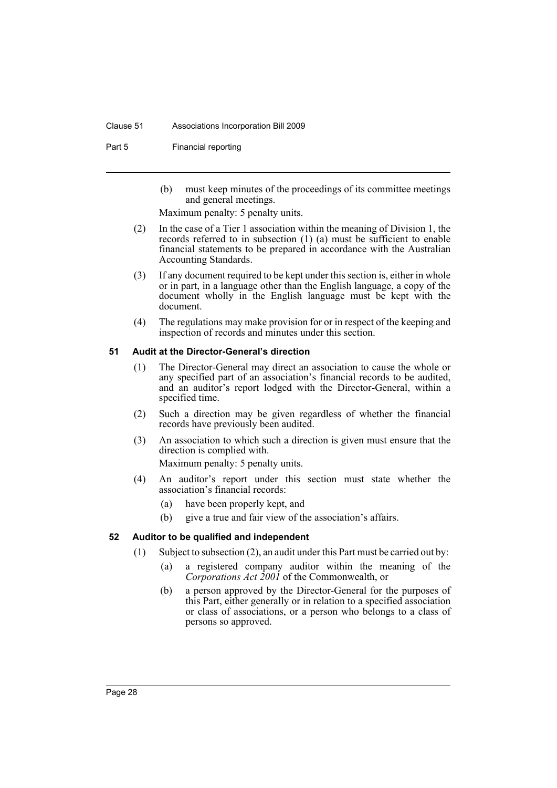#### Clause 51 Associations Incorporation Bill 2009

Part 5 Financial reporting

(b) must keep minutes of the proceedings of its committee meetings and general meetings.

Maximum penalty: 5 penalty units.

- (2) In the case of a Tier 1 association within the meaning of Division 1, the records referred to in subsection (1) (a) must be sufficient to enable financial statements to be prepared in accordance with the Australian Accounting Standards.
- (3) If any document required to be kept under this section is, either in whole or in part, in a language other than the English language, a copy of the document wholly in the English language must be kept with the document.
- (4) The regulations may make provision for or in respect of the keeping and inspection of records and minutes under this section.

#### <span id="page-32-0"></span>**51 Audit at the Director-General's direction**

- (1) The Director-General may direct an association to cause the whole or any specified part of an association's financial records to be audited, and an auditor's report lodged with the Director-General, within a specified time.
- (2) Such a direction may be given regardless of whether the financial records have previously been audited.
- (3) An association to which such a direction is given must ensure that the direction is complied with.

Maximum penalty: 5 penalty units.

- (4) An auditor's report under this section must state whether the association's financial records:
	- (a) have been properly kept, and
	- (b) give a true and fair view of the association's affairs.

### <span id="page-32-1"></span>**52 Auditor to be qualified and independent**

- (1) Subject to subsection (2), an audit under this Part must be carried out by:
	- (a) a registered company auditor within the meaning of the *Corporations Act 2001* of the Commonwealth, or
	- (b) a person approved by the Director-General for the purposes of this Part, either generally or in relation to a specified association or class of associations, or a person who belongs to a class of persons so approved.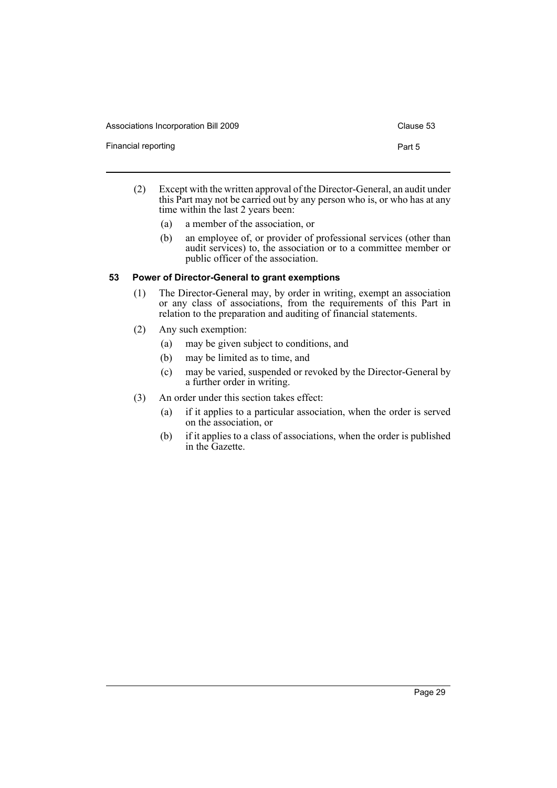| Associations Incorporation Bill 2009 | Clause 53 |
|--------------------------------------|-----------|
| Financial reporting                  | Part 5    |

- (2) Except with the written approval of the Director-General, an audit under this Part may not be carried out by any person who is, or who has at any time within the last 2 years been:
	- (a) a member of the association, or
	- (b) an employee of, or provider of professional services (other than audit services) to, the association or to a committee member or public officer of the association.

## <span id="page-33-0"></span>**53 Power of Director-General to grant exemptions**

- (1) The Director-General may, by order in writing, exempt an association or any class of associations, from the requirements of this Part in relation to the preparation and auditing of financial statements.
- (2) Any such exemption:
	- (a) may be given subject to conditions, and
	- (b) may be limited as to time, and
	- (c) may be varied, suspended or revoked by the Director-General by a further order in writing.
- (3) An order under this section takes effect:
	- (a) if it applies to a particular association, when the order is served on the association, or
	- (b) if it applies to a class of associations, when the order is published in the Gazette.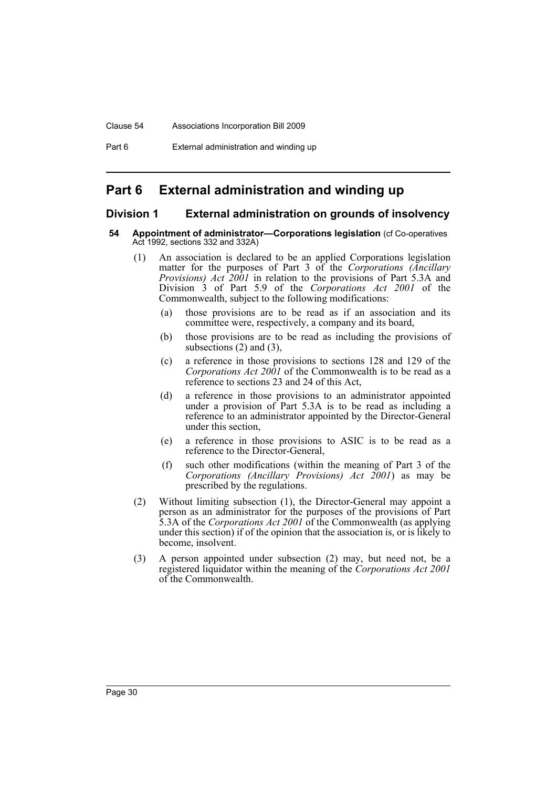# <span id="page-34-0"></span>**Part 6 External administration and winding up**

## <span id="page-34-1"></span>**Division 1 External administration on grounds of insolvency**

#### <span id="page-34-2"></span>**54 Appointment of administrator—Corporations legislation** (cf Co-operatives Act 1992, sections 332 and 332A)

- (1) An association is declared to be an applied Corporations legislation matter for the purposes of Part 3 of the *Corporations (Ancillary Provisions) Act 2001* in relation to the provisions of Part 5.3A and Division 3 of Part 5.9 of the *Corporations Act 2001* of the Commonwealth, subject to the following modifications:
	- (a) those provisions are to be read as if an association and its committee were, respectively, a company and its board,
	- (b) those provisions are to be read as including the provisions of subsections  $(2)$  and  $(3)$ ,
	- (c) a reference in those provisions to sections 128 and 129 of the *Corporations Act 2001* of the Commonwealth is to be read as a reference to sections 23 and 24 of this Act,
	- (d) a reference in those provisions to an administrator appointed under a provision of Part 5.3A is to be read as including a reference to an administrator appointed by the Director-General under this section,
	- (e) a reference in those provisions to ASIC is to be read as a reference to the Director-General,
	- (f) such other modifications (within the meaning of Part 3 of the *Corporations (Ancillary Provisions) Act 2001*) as may be prescribed by the regulations.
- (2) Without limiting subsection (1), the Director-General may appoint a person as an administrator for the purposes of the provisions of Part 5.3A of the *Corporations Act 2001* of the Commonwealth (as applying under this section) if of the opinion that the association is, or is likely to become, insolvent.
- (3) A person appointed under subsection (2) may, but need not, be a registered liquidator within the meaning of the *Corporations Act 2001* of the Commonwealth.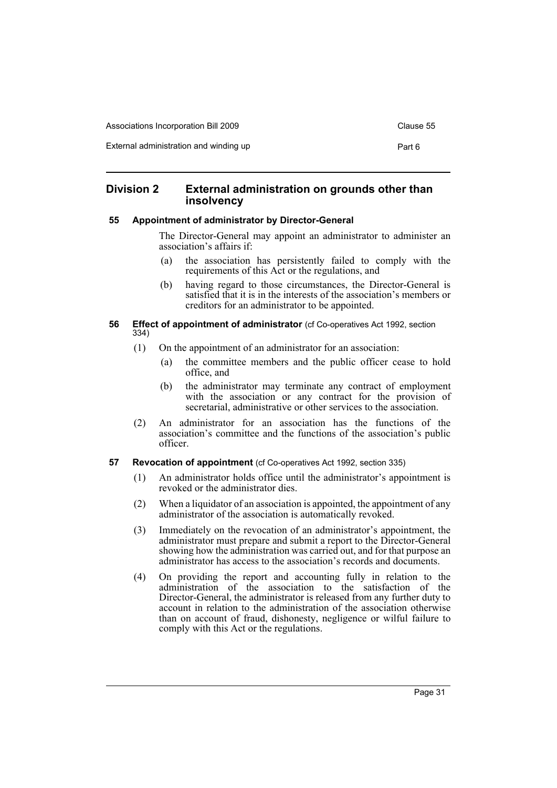| Associations Incorporation Bill 2009   | Clause 55 |
|----------------------------------------|-----------|
| External administration and winding up | Part 6    |

## <span id="page-35-0"></span>**Division 2 External administration on grounds other than insolvency**

#### <span id="page-35-1"></span>**55 Appointment of administrator by Director-General**

The Director-General may appoint an administrator to administer an association's affairs if:

- (a) the association has persistently failed to comply with the requirements of this Act or the regulations, and
- (b) having regard to those circumstances, the Director-General is satisfied that it is in the interests of the association's members or creditors for an administrator to be appointed.

#### <span id="page-35-2"></span>**56 Effect of appointment of administrator** (cf Co-operatives Act 1992, section 334)

- (1) On the appointment of an administrator for an association:
	- (a) the committee members and the public officer cease to hold office, and
	- (b) the administrator may terminate any contract of employment with the association or any contract for the provision of secretarial, administrative or other services to the association.
- (2) An administrator for an association has the functions of the association's committee and the functions of the association's public officer.
- <span id="page-35-3"></span>**57 Revocation of appointment** (cf Co-operatives Act 1992, section 335)
	- (1) An administrator holds office until the administrator's appointment is revoked or the administrator dies.
	- (2) When a liquidator of an association is appointed, the appointment of any administrator of the association is automatically revoked.
	- (3) Immediately on the revocation of an administrator's appointment, the administrator must prepare and submit a report to the Director-General showing how the administration was carried out, and for that purpose an administrator has access to the association's records and documents.
	- (4) On providing the report and accounting fully in relation to the administration of the association to the satisfaction of the Director-General, the administrator is released from any further duty to account in relation to the administration of the association otherwise than on account of fraud, dishonesty, negligence or wilful failure to comply with this Act or the regulations.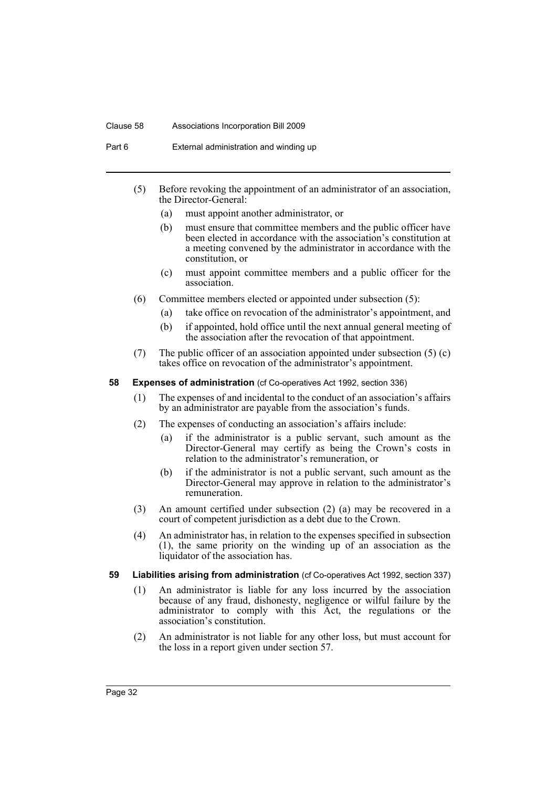#### Clause 58 Associations Incorporation Bill 2009

Part 6 External administration and winding up

- (5) Before revoking the appointment of an administrator of an association, the Director-General:
	- (a) must appoint another administrator, or
	- (b) must ensure that committee members and the public officer have been elected in accordance with the association's constitution at a meeting convened by the administrator in accordance with the constitution, or
	- (c) must appoint committee members and a public officer for the association.
- (6) Committee members elected or appointed under subsection (5):
	- (a) take office on revocation of the administrator's appointment, and
	- (b) if appointed, hold office until the next annual general meeting of the association after the revocation of that appointment.
- (7) The public officer of an association appointed under subsection (5) (c) takes office on revocation of the administrator's appointment.

## **58 Expenses of administration** (cf Co-operatives Act 1992, section 336)

- (1) The expenses of and incidental to the conduct of an association's affairs by an administrator are payable from the association's funds.
- (2) The expenses of conducting an association's affairs include:
	- (a) if the administrator is a public servant, such amount as the Director-General may certify as being the Crown's costs in relation to the administrator's remuneration, or
	- (b) if the administrator is not a public servant, such amount as the Director-General may approve in relation to the administrator's remuneration.
- (3) An amount certified under subsection (2) (a) may be recovered in a court of competent jurisdiction as a debt due to the Crown.
- (4) An administrator has, in relation to the expenses specified in subsection (1), the same priority on the winding up of an association as the liquidator of the association has.
- **59 Liabilities arising from administration** (cf Co-operatives Act 1992, section 337)
	- (1) An administrator is liable for any loss incurred by the association because of any fraud, dishonesty, negligence or wilful failure by the administrator to comply with this Act, the regulations or the association's constitution.
	- (2) An administrator is not liable for any other loss, but must account for the loss in a report given under section 57.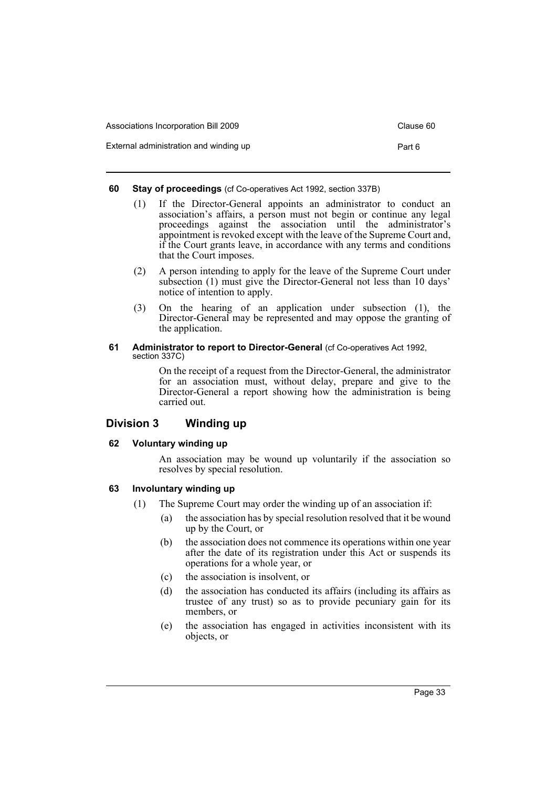| Associations Incorporation Bill 2009   | Clause 60 |
|----------------------------------------|-----------|
| External administration and winding up | Part 6    |

## **60 Stay of proceedings** (cf Co-operatives Act 1992, section 337B)

- (1) If the Director-General appoints an administrator to conduct an association's affairs, a person must not begin or continue any legal proceedings against the association until the administrator's appointment is revoked except with the leave of the Supreme Court and, if the Court grants leave, in accordance with any terms and conditions that the Court imposes.
- (2) A person intending to apply for the leave of the Supreme Court under subsection (1) must give the Director-General not less than 10 days' notice of intention to apply.
- (3) On the hearing of an application under subsection (1), the Director-General may be represented and may oppose the granting of the application.

#### **61** Administrator to report to Director-General (cf Co-operatives Act 1992, section 337C)

On the receipt of a request from the Director-General, the administrator for an association must, without delay, prepare and give to the Director-General a report showing how the administration is being carried out.

## **Division 3 Winding up**

## **62 Voluntary winding up**

An association may be wound up voluntarily if the association so resolves by special resolution.

## **63 Involuntary winding up**

- (1) The Supreme Court may order the winding up of an association if:
	- (a) the association has by special resolution resolved that it be wound up by the Court, or
	- (b) the association does not commence its operations within one year after the date of its registration under this Act or suspends its operations for a whole year, or
	- (c) the association is insolvent, or
	- (d) the association has conducted its affairs (including its affairs as trustee of any trust) so as to provide pecuniary gain for its members, or
	- (e) the association has engaged in activities inconsistent with its objects, or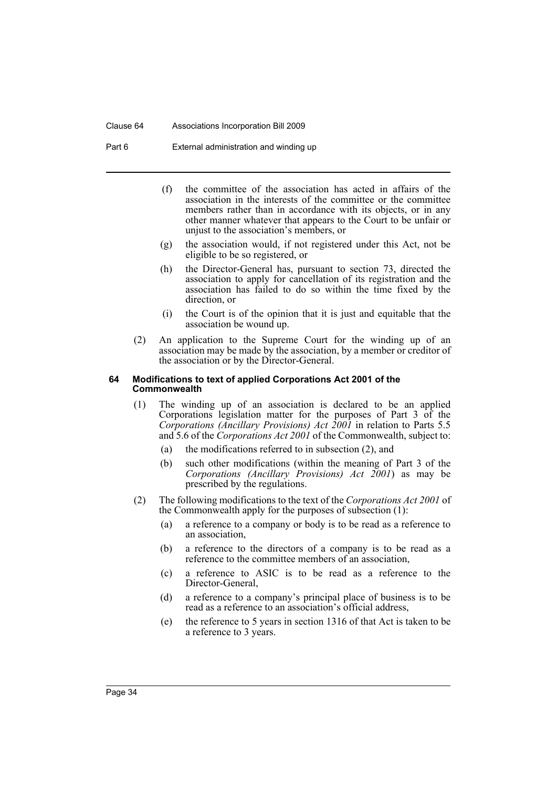#### Clause 64 Associations Incorporation Bill 2009

Part 6 External administration and winding up

- (f) the committee of the association has acted in affairs of the association in the interests of the committee or the committee members rather than in accordance with its objects, or in any other manner whatever that appears to the Court to be unfair or unjust to the association's members, or
- (g) the association would, if not registered under this Act, not be eligible to be so registered, or
- (h) the Director-General has, pursuant to section 73, directed the association to apply for cancellation of its registration and the association has failed to do so within the time fixed by the direction, or
- (i) the Court is of the opinion that it is just and equitable that the association be wound up.
- (2) An application to the Supreme Court for the winding up of an association may be made by the association, by a member or creditor of the association or by the Director-General.

#### **64 Modifications to text of applied Corporations Act 2001 of the Commonwealth**

- (1) The winding up of an association is declared to be an applied Corporations legislation matter for the purposes of Part 3 of the *Corporations (Ancillary Provisions) Act 2001* in relation to Parts 5.5 and 5.6 of the *Corporations Act 2001* of the Commonwealth, subject to:
	- (a) the modifications referred to in subsection (2), and
	- (b) such other modifications (within the meaning of Part 3 of the *Corporations (Ancillary Provisions) Act 2001*) as may be prescribed by the regulations.
- (2) The following modifications to the text of the *Corporations Act 2001* of the Commonwealth apply for the purposes of subsection (1):
	- (a) a reference to a company or body is to be read as a reference to an association,
	- (b) a reference to the directors of a company is to be read as a reference to the committee members of an association,
	- (c) a reference to ASIC is to be read as a reference to the Director-General,
	- (d) a reference to a company's principal place of business is to be read as a reference to an association's official address,
	- (e) the reference to 5 years in section 1316 of that Act is taken to be a reference to 3 years.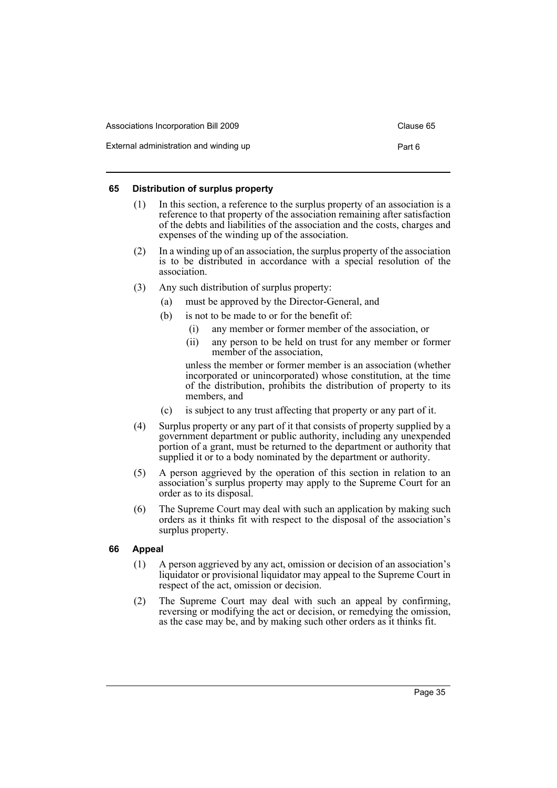| Associations Incorporation Bill 2009   | Clause 65 |
|----------------------------------------|-----------|
| External administration and winding up | Part 6    |

## **65 Distribution of surplus property**

- (1) In this section, a reference to the surplus property of an association is a reference to that property of the association remaining after satisfaction of the debts and liabilities of the association and the costs, charges and expenses of the winding up of the association.
- (2) In a winding up of an association, the surplus property of the association is to be distributed in accordance with a special resolution of the association.
- (3) Any such distribution of surplus property:
	- (a) must be approved by the Director-General, and
	- (b) is not to be made to or for the benefit of:
		- (i) any member or former member of the association, or
		- (ii) any person to be held on trust for any member or former member of the association,

unless the member or former member is an association (whether incorporated or unincorporated) whose constitution, at the time of the distribution, prohibits the distribution of property to its members, and

- (c) is subject to any trust affecting that property or any part of it.
- (4) Surplus property or any part of it that consists of property supplied by a government department or public authority, including any unexpended portion of a grant, must be returned to the department or authority that supplied it or to a body nominated by the department or authority.
- (5) A person aggrieved by the operation of this section in relation to an association's surplus property may apply to the Supreme Court for an order as to its disposal.
- (6) The Supreme Court may deal with such an application by making such orders as it thinks fit with respect to the disposal of the association's surplus property.

## **66 Appeal**

- (1) A person aggrieved by any act, omission or decision of an association's liquidator or provisional liquidator may appeal to the Supreme Court in respect of the act, omission or decision.
- (2) The Supreme Court may deal with such an appeal by confirming, reversing or modifying the act or decision, or remedying the omission, as the case may be, and by making such other orders as it thinks fit.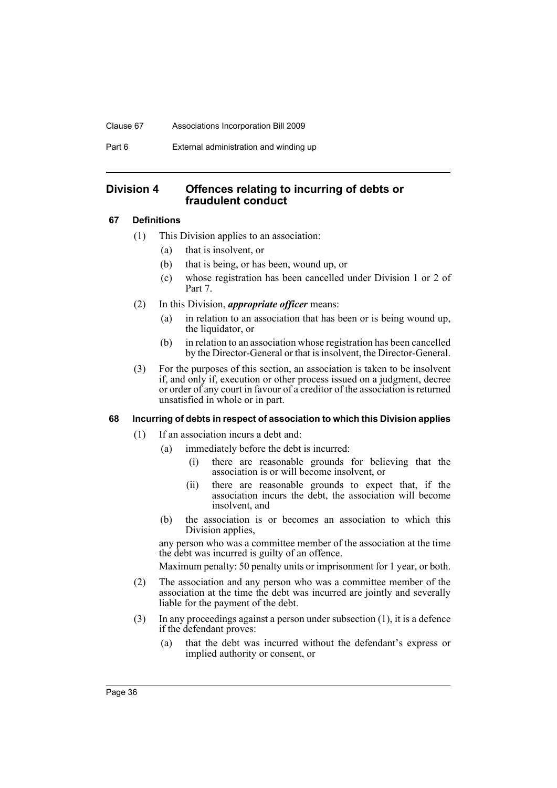#### Clause 67 Associations Incorporation Bill 2009

Part 6 External administration and winding up

## **Division 4 Offences relating to incurring of debts or fraudulent conduct**

## **67 Definitions**

- (1) This Division applies to an association:
	- (a) that is insolvent, or
	- (b) that is being, or has been, wound up, or
	- (c) whose registration has been cancelled under Division 1 or 2 of Part 7.
- (2) In this Division, *appropriate officer* means:
	- (a) in relation to an association that has been or is being wound up, the liquidator, or
	- (b) in relation to an association whose registration has been cancelled by the Director-General or that is insolvent, the Director-General.
- (3) For the purposes of this section, an association is taken to be insolvent if, and only if, execution or other process issued on a judgment, decree or order of any court in favour of a creditor of the association is returned unsatisfied in whole or in part.

#### **68 Incurring of debts in respect of association to which this Division applies**

- (1) If an association incurs a debt and:
	- (a) immediately before the debt is incurred:
		- (i) there are reasonable grounds for believing that the association is or will become insolvent, or
		- (ii) there are reasonable grounds to expect that, if the association incurs the debt, the association will become insolvent, and
	- (b) the association is or becomes an association to which this Division applies,

any person who was a committee member of the association at the time the debt was incurred is guilty of an offence.

Maximum penalty: 50 penalty units or imprisonment for 1 year, or both.

- (2) The association and any person who was a committee member of the association at the time the debt was incurred are jointly and severally liable for the payment of the debt.
- (3) In any proceedings against a person under subsection (1), it is a defence if the defendant proves:
	- (a) that the debt was incurred without the defendant's express or implied authority or consent, or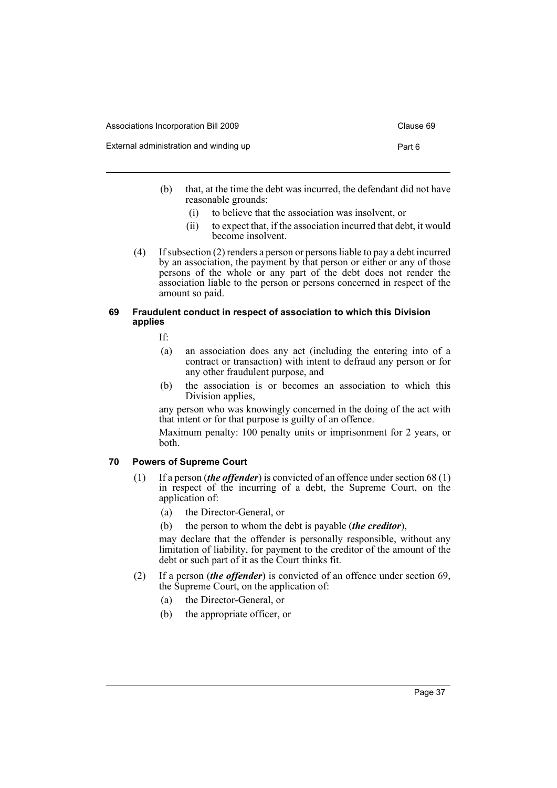| Associations Incorporation Bill 2009   | Clause 69 |
|----------------------------------------|-----------|
| External administration and winding up | Part 6    |

- (b) that, at the time the debt was incurred, the defendant did not have reasonable grounds:
	- (i) to believe that the association was insolvent, or
	- (ii) to expect that, if the association incurred that debt, it would become insolvent.
- (4) If subsection (2) renders a person or persons liable to pay a debt incurred by an association, the payment by that person or either or any of those persons of the whole or any part of the debt does not render the association liable to the person or persons concerned in respect of the amount so paid.

#### **69 Fraudulent conduct in respect of association to which this Division applies**

If:

- (a) an association does any act (including the entering into of a contract or transaction) with intent to defraud any person or for any other fraudulent purpose, and
- (b) the association is or becomes an association to which this Division applies,

any person who was knowingly concerned in the doing of the act with that intent or for that purpose is guilty of an offence.

Maximum penalty: 100 penalty units or imprisonment for 2 years, or both.

## **70 Powers of Supreme Court**

- (1) If a person (*the offender*) is convicted of an offence under section 68 (1) in respect of the incurring of a debt, the Supreme Court, on the application of:
	- (a) the Director-General, or
	- (b) the person to whom the debt is payable (*the creditor*),

may declare that the offender is personally responsible, without any limitation of liability, for payment to the creditor of the amount of the debt or such part of it as the Court thinks fit.

- (2) If a person (*the offender*) is convicted of an offence under section 69, the Supreme Court, on the application of:
	- (a) the Director-General, or
	- (b) the appropriate officer, or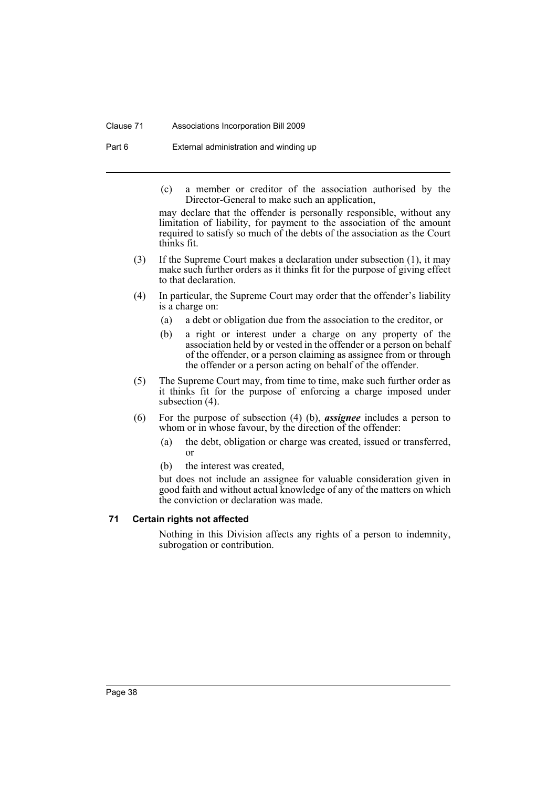#### Clause 71 Associations Incorporation Bill 2009

Part 6 External administration and winding up

(c) a member or creditor of the association authorised by the Director-General to make such an application,

may declare that the offender is personally responsible, without any limitation of liability, for payment to the association of the amount required to satisfy so much of the debts of the association as the Court thinks fit.

- (3) If the Supreme Court makes a declaration under subsection (1), it may make such further orders as it thinks fit for the purpose of giving effect to that declaration.
- (4) In particular, the Supreme Court may order that the offender's liability is a charge on:
	- (a) a debt or obligation due from the association to the creditor, or
	- (b) a right or interest under a charge on any property of the association held by or vested in the offender or a person on behalf of the offender, or a person claiming as assignee from or through the offender or a person acting on behalf of the offender.
- (5) The Supreme Court may, from time to time, make such further order as it thinks fit for the purpose of enforcing a charge imposed under subsection (4).
- (6) For the purpose of subsection (4) (b), *assignee* includes a person to whom or in whose favour, by the direction of the offender:
	- (a) the debt, obligation or charge was created, issued or transferred, or
	- (b) the interest was created,

but does not include an assignee for valuable consideration given in good faith and without actual knowledge of any of the matters on which the conviction or declaration was made.

## **71 Certain rights not affected**

Nothing in this Division affects any rights of a person to indemnity, subrogation or contribution.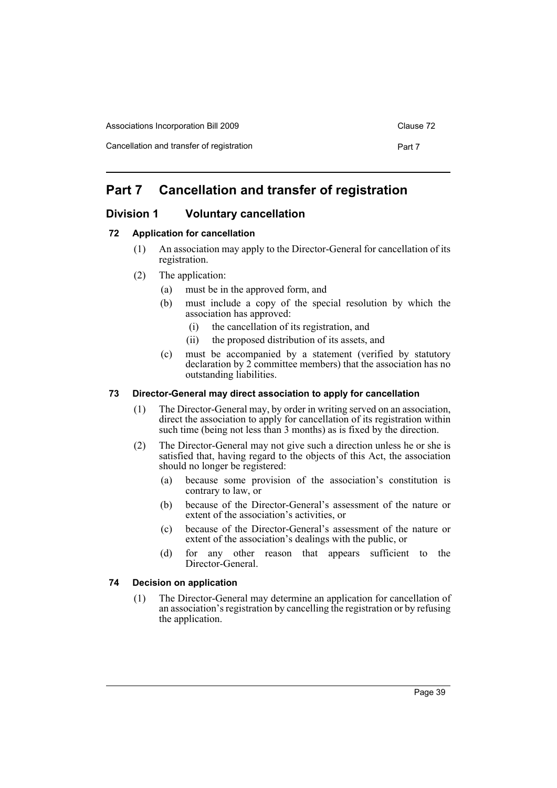|  | Associations Incorporation Bill 2009 |
|--|--------------------------------------|
|--|--------------------------------------|

Cancellation and transfer of registration **Part 7** Part 7

# **Part 7 Cancellation and transfer of registration**

# **Division 1 Voluntary cancellation**

## **72 Application for cancellation**

- (1) An association may apply to the Director-General for cancellation of its registration.
- (2) The application:
	- (a) must be in the approved form, and
	- (b) must include a copy of the special resolution by which the association has approved:
		- (i) the cancellation of its registration, and
		- (ii) the proposed distribution of its assets, and
	- (c) must be accompanied by a statement (verified by statutory declaration by 2 committee members) that the association has no outstanding liabilities.

## **73 Director-General may direct association to apply for cancellation**

- (1) The Director-General may, by order in writing served on an association, direct the association to apply for cancellation of its registration within such time (being not less than 3 months) as is fixed by the direction.
- (2) The Director-General may not give such a direction unless he or she is satisfied that, having regard to the objects of this Act, the association should no longer be registered:
	- (a) because some provision of the association's constitution is contrary to law, or
	- (b) because of the Director-General's assessment of the nature or extent of the association's activities, or
	- (c) because of the Director-General's assessment of the nature or extent of the association's dealings with the public, or
	- (d) for any other reason that appears sufficient to the Director-General.

## **74 Decision on application**

(1) The Director-General may determine an application for cancellation of an association's registration by cancelling the registration or by refusing the application.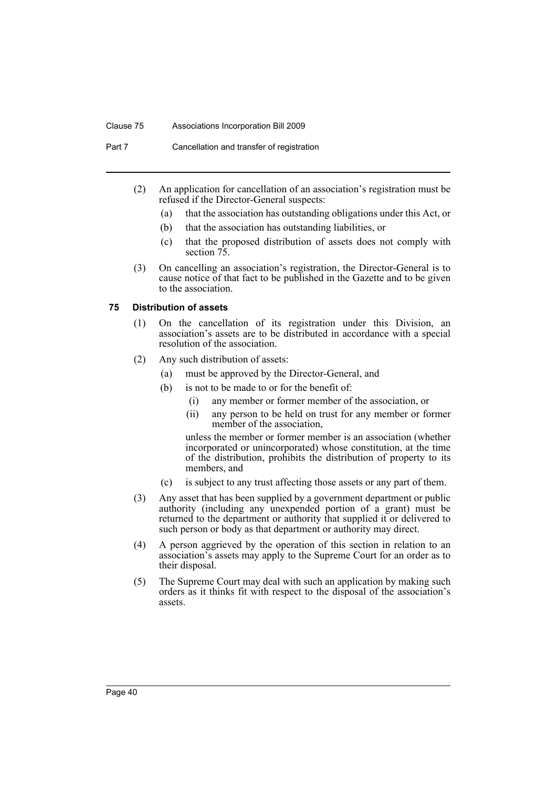#### Clause 75 Associations Incorporation Bill 2009

Part 7 Cancellation and transfer of registration

- (2) An application for cancellation of an association's registration must be refused if the Director-General suspects:
	- (a) that the association has outstanding obligations under this Act, or
	- (b) that the association has outstanding liabilities, or
	- (c) that the proposed distribution of assets does not comply with section 75.
- (3) On cancelling an association's registration, the Director-General is to cause notice of that fact to be published in the Gazette and to be given to the association.

#### **75 Distribution of assets**

- (1) On the cancellation of its registration under this Division, an association's assets are to be distributed in accordance with a special resolution of the association.
- (2) Any such distribution of assets:
	- (a) must be approved by the Director-General, and
	- (b) is not to be made to or for the benefit of:
		- (i) any member or former member of the association, or
		- (ii) any person to be held on trust for any member or former member of the association,

unless the member or former member is an association (whether incorporated or unincorporated) whose constitution, at the time of the distribution, prohibits the distribution of property to its members, and

- (c) is subject to any trust affecting those assets or any part of them.
- (3) Any asset that has been supplied by a government department or public authority (including any unexpended portion of a grant) must be returned to the department or authority that supplied it or delivered to such person or body as that department or authority may direct.
- (4) A person aggrieved by the operation of this section in relation to an association's assets may apply to the Supreme Court for an order as to their disposal.
- (5) The Supreme Court may deal with such an application by making such orders as it thinks fit with respect to the disposal of the association's assets.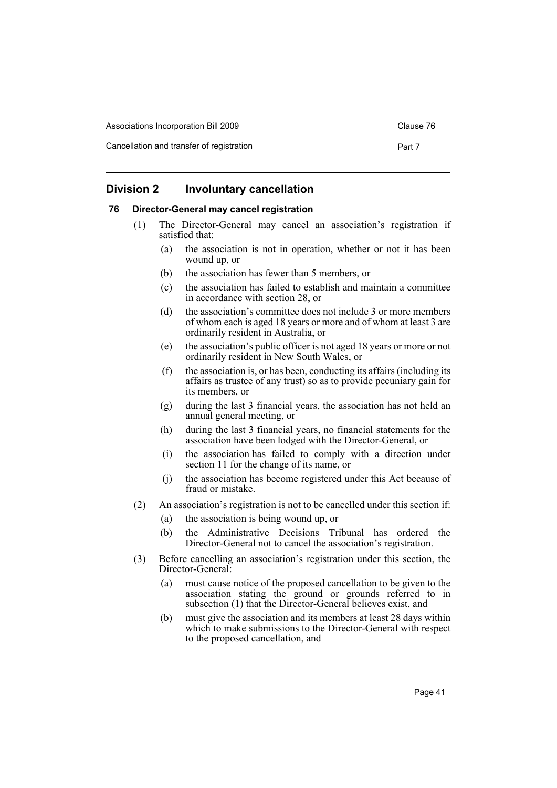Associations Incorporation Bill 2009 Clause 76

Cancellation and transfer of registration **Part 7** Part 7

## **Division 2 Involuntary cancellation**

#### **76 Director-General may cancel registration**

- (1) The Director-General may cancel an association's registration if satisfied that:
	- (a) the association is not in operation, whether or not it has been wound up, or
	- (b) the association has fewer than 5 members, or
	- (c) the association has failed to establish and maintain a committee in accordance with section 28, or
	- (d) the association's committee does not include 3 or more members of whom each is aged 18 years or more and of whom at least 3 are ordinarily resident in Australia, or
	- (e) the association's public officer is not aged 18 years or more or not ordinarily resident in New South Wales, or
	- (f) the association is, or has been, conducting its affairs (including its affairs as trustee of any trust) so as to provide pecuniary gain for its members, or
	- (g) during the last 3 financial years, the association has not held an annual general meeting, or
	- (h) during the last 3 financial years, no financial statements for the association have been lodged with the Director-General, or
	- (i) the association has failed to comply with a direction under section 11 for the change of its name, or
	- (j) the association has become registered under this Act because of fraud or mistake.
- (2) An association's registration is not to be cancelled under this section if:
	- (a) the association is being wound up, or
	- (b) the Administrative Decisions Tribunal has ordered the Director-General not to cancel the association's registration.
- (3) Before cancelling an association's registration under this section, the Director-General:
	- (a) must cause notice of the proposed cancellation to be given to the association stating the ground or grounds referred to in subsection (1) that the Director-General believes exist, and
	- (b) must give the association and its members at least 28 days within which to make submissions to the Director-General with respect to the proposed cancellation, and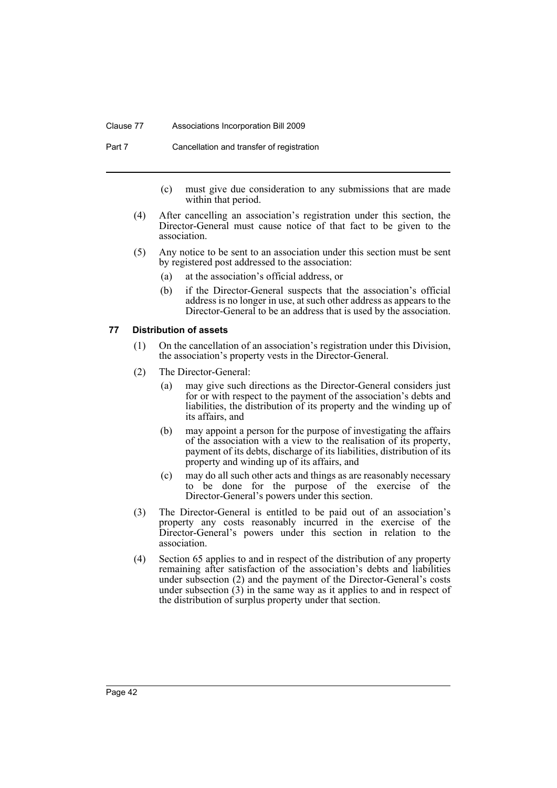#### Clause 77 Associations Incorporation Bill 2009

Part 7 Cancellation and transfer of registration

- (c) must give due consideration to any submissions that are made within that period.
- (4) After cancelling an association's registration under this section, the Director-General must cause notice of that fact to be given to the association.
- (5) Any notice to be sent to an association under this section must be sent by registered post addressed to the association:
	- (a) at the association's official address, or
	- (b) if the Director-General suspects that the association's official address is no longer in use, at such other address as appears to the Director-General to be an address that is used by the association.

#### **77 Distribution of assets**

- (1) On the cancellation of an association's registration under this Division, the association's property vests in the Director-General.
- (2) The Director-General:
	- (a) may give such directions as the Director-General considers just for or with respect to the payment of the association's debts and liabilities, the distribution of its property and the winding up of its affairs, and
	- (b) may appoint a person for the purpose of investigating the affairs of the association with a view to the realisation of its property, payment of its debts, discharge of its liabilities, distribution of its property and winding up of its affairs, and
	- (c) may do all such other acts and things as are reasonably necessary to be done for the purpose of the exercise of the Director-General's powers under this section.
- (3) The Director-General is entitled to be paid out of an association's property any costs reasonably incurred in the exercise of the Director-General's powers under this section in relation to the association.
- (4) Section 65 applies to and in respect of the distribution of any property remaining after satisfaction of the association's debts and liabilities under subsection (2) and the payment of the Director-General's costs under subsection  $(3)$  in the same way as it applies to and in respect of the distribution of surplus property under that section.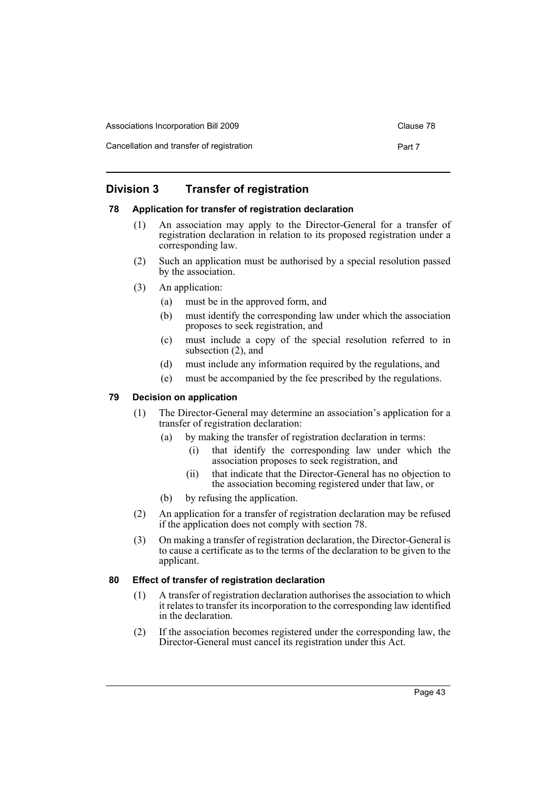| Associations Incorporation Bill 2009      | Clause 78 |
|-------------------------------------------|-----------|
| Cancellation and transfer of registration | Part 7    |

# **Division 3 Transfer of registration**

## **78 Application for transfer of registration declaration**

- (1) An association may apply to the Director-General for a transfer of registration declaration in relation to its proposed registration under a corresponding law.
- (2) Such an application must be authorised by a special resolution passed by the association.
- (3) An application:
	- (a) must be in the approved form, and
	- (b) must identify the corresponding law under which the association proposes to seek registration, and
	- (c) must include a copy of the special resolution referred to in subsection (2), and
	- (d) must include any information required by the regulations, and
	- (e) must be accompanied by the fee prescribed by the regulations.

## **79 Decision on application**

- (1) The Director-General may determine an association's application for a transfer of registration declaration:
	- (a) by making the transfer of registration declaration in terms:
		- (i) that identify the corresponding law under which the association proposes to seek registration, and
		- (ii) that indicate that the Director-General has no objection to the association becoming registered under that law, or
	- (b) by refusing the application.
- (2) An application for a transfer of registration declaration may be refused if the application does not comply with section 78.
- (3) On making a transfer of registration declaration, the Director-General is to cause a certificate as to the terms of the declaration to be given to the applicant.

## **80 Effect of transfer of registration declaration**

- (1) A transfer of registration declaration authorises the association to which it relates to transfer its incorporation to the corresponding law identified in the declaration.
- (2) If the association becomes registered under the corresponding law, the Director-General must cancel its registration under this Act.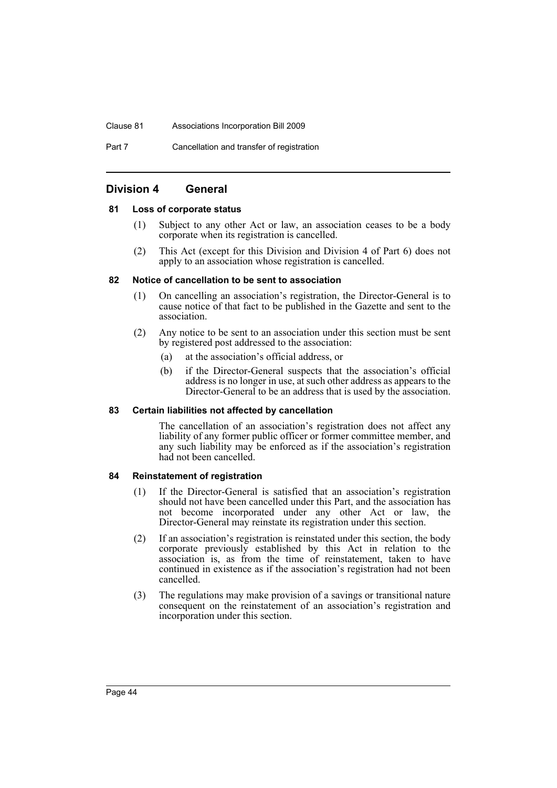#### Clause 81 Associations Incorporation Bill 2009

Part 7 Cancellation and transfer of registration

## **Division 4 General**

#### **81 Loss of corporate status**

- (1) Subject to any other Act or law, an association ceases to be a body corporate when its registration is cancelled.
- (2) This Act (except for this Division and Division 4 of Part 6) does not apply to an association whose registration is cancelled.

#### **82 Notice of cancellation to be sent to association**

- (1) On cancelling an association's registration, the Director-General is to cause notice of that fact to be published in the Gazette and sent to the association.
- (2) Any notice to be sent to an association under this section must be sent by registered post addressed to the association:
	- (a) at the association's official address, or
	- (b) if the Director-General suspects that the association's official address is no longer in use, at such other address as appears to the Director-General to be an address that is used by the association.

#### **83 Certain liabilities not affected by cancellation**

The cancellation of an association's registration does not affect any liability of any former public officer or former committee member, and any such liability may be enforced as if the association's registration had not been cancelled.

#### **84 Reinstatement of registration**

- (1) If the Director-General is satisfied that an association's registration should not have been cancelled under this Part, and the association has not become incorporated under any other Act or law, the Director-General may reinstate its registration under this section.
- (2) If an association's registration is reinstated under this section, the body corporate previously established by this Act in relation to the association is, as from the time of reinstatement, taken to have continued in existence as if the association's registration had not been cancelled.
- (3) The regulations may make provision of a savings or transitional nature consequent on the reinstatement of an association's registration and incorporation under this section.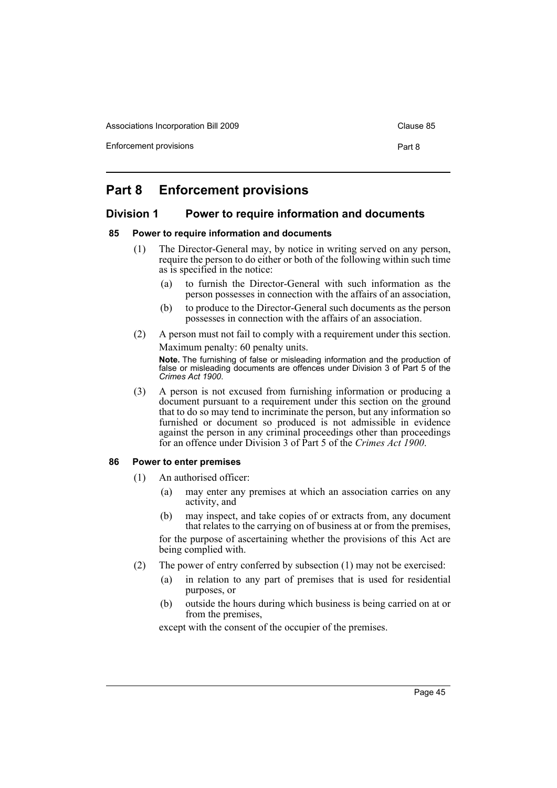Associations Incorporation Bill 2009 Clause 85

Enforcement provisions **Part 8** 

# **Part 8 Enforcement provisions**

## **Division 1 Power to require information and documents**

## **85 Power to require information and documents**

- (1) The Director-General may, by notice in writing served on any person, require the person to do either or both of the following within such time as is specified in the notice:
	- (a) to furnish the Director-General with such information as the person possesses in connection with the affairs of an association,
	- (b) to produce to the Director-General such documents as the person possesses in connection with the affairs of an association.
- (2) A person must not fail to comply with a requirement under this section. Maximum penalty: 60 penalty units.

**Note.** The furnishing of false or misleading information and the production of false or misleading documents are offences under Division 3 of Part 5 of the *Crimes Act 1900*.

(3) A person is not excused from furnishing information or producing a document pursuant to a requirement under this section on the ground that to do so may tend to incriminate the person, but any information so furnished or document so produced is not admissible in evidence against the person in any criminal proceedings other than proceedings for an offence under Division 3 of Part 5 of the *Crimes Act 1900*.

#### **86 Power to enter premises**

- (1) An authorised officer:
	- (a) may enter any premises at which an association carries on any activity, and
	- (b) may inspect, and take copies of or extracts from, any document that relates to the carrying on of business at or from the premises,

for the purpose of ascertaining whether the provisions of this Act are being complied with.

- (2) The power of entry conferred by subsection (1) may not be exercised:
	- (a) in relation to any part of premises that is used for residential purposes, or
	- (b) outside the hours during which business is being carried on at or from the premises,

except with the consent of the occupier of the premises.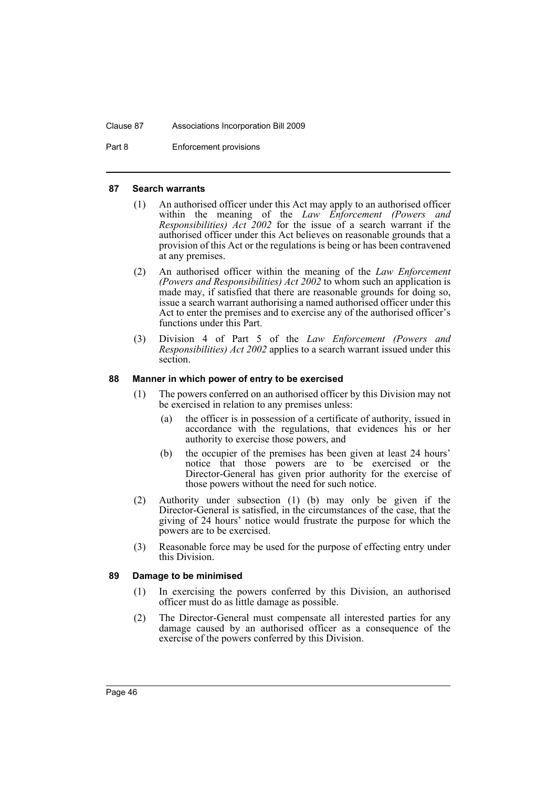#### Clause 87 Associations Incorporation Bill 2009

Part 8 Enforcement provisions

#### **87 Search warrants**

- (1) An authorised officer under this Act may apply to an authorised officer within the meaning of the *Law Enforcement (Powers and Responsibilities) Act* 2002 for the issue of a search warrant if the authorised officer under this Act believes on reasonable grounds that a provision of this Act or the regulations is being or has been contravened at any premises.
- (2) An authorised officer within the meaning of the *Law Enforcement (Powers and Responsibilities) Act 2002* to whom such an application is made may, if satisfied that there are reasonable grounds for doing so, issue a search warrant authorising a named authorised officer under this Act to enter the premises and to exercise any of the authorised officer's functions under this Part.
- (3) Division 4 of Part 5 of the *Law Enforcement (Powers and Responsibilities) Act 2002* applies to a search warrant issued under this section.

#### **88 Manner in which power of entry to be exercised**

- (1) The powers conferred on an authorised officer by this Division may not be exercised in relation to any premises unless:
	- (a) the officer is in possession of a certificate of authority, issued in accordance with the regulations, that evidences his or her authority to exercise those powers, and
	- (b) the occupier of the premises has been given at least 24 hours' notice that those powers are to be exercised or the Director-General has given prior authority for the exercise of those powers without the need for such notice.
- (2) Authority under subsection (1) (b) may only be given if the Director-General is satisfied, in the circumstances of the case, that the giving of 24 hours' notice would frustrate the purpose for which the powers are to be exercised.
- (3) Reasonable force may be used for the purpose of effecting entry under this Division.

#### **89 Damage to be minimised**

- (1) In exercising the powers conferred by this Division, an authorised officer must do as little damage as possible.
- (2) The Director-General must compensate all interested parties for any damage caused by an authorised officer as a consequence of the exercise of the powers conferred by this Division.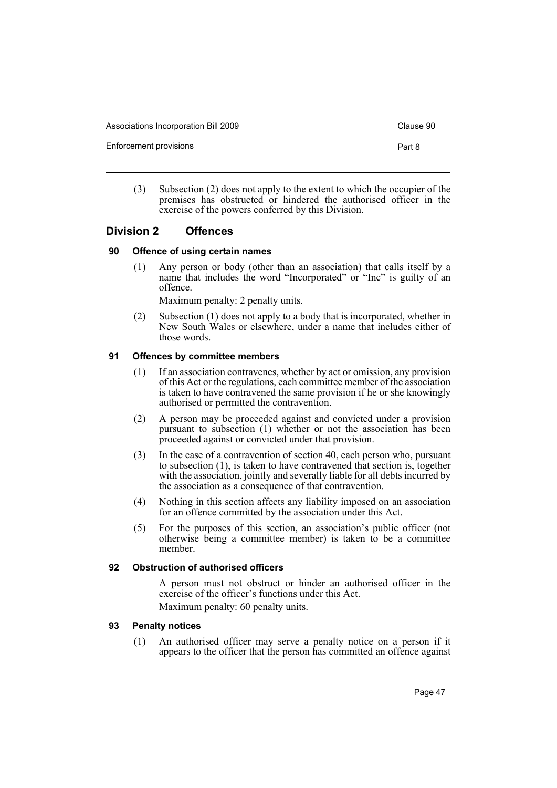Associations Incorporation Bill 2009 Clause 90

Enforcement provisions **Part 8** 

- 
- (3) Subsection (2) does not apply to the extent to which the occupier of the premises has obstructed or hindered the authorised officer in the exercise of the powers conferred by this Division.

## **Division 2 Offences**

## **90 Offence of using certain names**

(1) Any person or body (other than an association) that calls itself by a name that includes the word "Incorporated" or "Inc" is guilty of an offence.

Maximum penalty: 2 penalty units.

(2) Subsection (1) does not apply to a body that is incorporated, whether in New South Wales or elsewhere, under a name that includes either of those words.

## **91 Offences by committee members**

- (1) If an association contravenes, whether by act or omission, any provision of this Act or the regulations, each committee member of the association is taken to have contravened the same provision if he or she knowingly authorised or permitted the contravention.
- (2) A person may be proceeded against and convicted under a provision pursuant to subsection (1) whether or not the association has been proceeded against or convicted under that provision.
- (3) In the case of a contravention of section 40, each person who, pursuant to subsection (1), is taken to have contravened that section is, together with the association, jointly and severally liable for all debts incurred by the association as a consequence of that contravention.
- (4) Nothing in this section affects any liability imposed on an association for an offence committed by the association under this Act.
- (5) For the purposes of this section, an association's public officer (not otherwise being a committee member) is taken to be a committee member.

## **92 Obstruction of authorised officers**

A person must not obstruct or hinder an authorised officer in the exercise of the officer's functions under this Act. Maximum penalty: 60 penalty units.

#### **93 Penalty notices**

(1) An authorised officer may serve a penalty notice on a person if it appears to the officer that the person has committed an offence against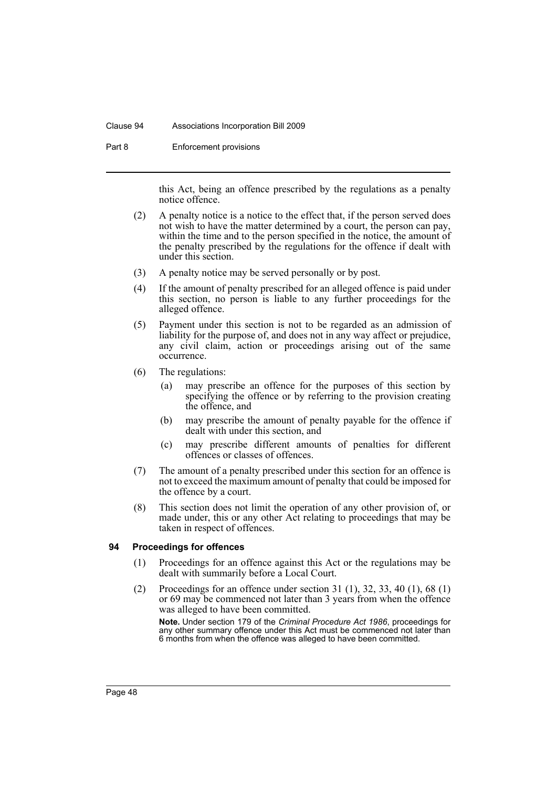#### Clause 94 Associations Incorporation Bill 2009

Part 8 Enforcement provisions

this Act, being an offence prescribed by the regulations as a penalty notice offence.

- (2) A penalty notice is a notice to the effect that, if the person served does not wish to have the matter determined by a court, the person can pay, within the time and to the person specified in the notice, the amount of the penalty prescribed by the regulations for the offence if dealt with under this section.
- (3) A penalty notice may be served personally or by post.
- (4) If the amount of penalty prescribed for an alleged offence is paid under this section, no person is liable to any further proceedings for the alleged offence.
- (5) Payment under this section is not to be regarded as an admission of liability for the purpose of, and does not in any way affect or prejudice, any civil claim, action or proceedings arising out of the same occurrence.
- (6) The regulations:
	- (a) may prescribe an offence for the purposes of this section by specifying the offence or by referring to the provision creating the offence, and
	- (b) may prescribe the amount of penalty payable for the offence if dealt with under this section, and
	- (c) may prescribe different amounts of penalties for different offences or classes of offences.
- (7) The amount of a penalty prescribed under this section for an offence is not to exceed the maximum amount of penalty that could be imposed for the offence by a court.
- (8) This section does not limit the operation of any other provision of, or made under, this or any other Act relating to proceedings that may be taken in respect of offences.

## **94 Proceedings for offences**

- (1) Proceedings for an offence against this Act or the regulations may be dealt with summarily before a Local Court.
- (2) Proceedings for an offence under section 31 (1), 32, 33, 40 (1), 68 (1) or 69 may be commenced not later than 3 years from when the offence was alleged to have been committed.

**Note.** Under section 179 of the *Criminal Procedure Act 1986*, proceedings for any other summary offence under this Act must be commenced not later than 6 months from when the offence was alleged to have been committed.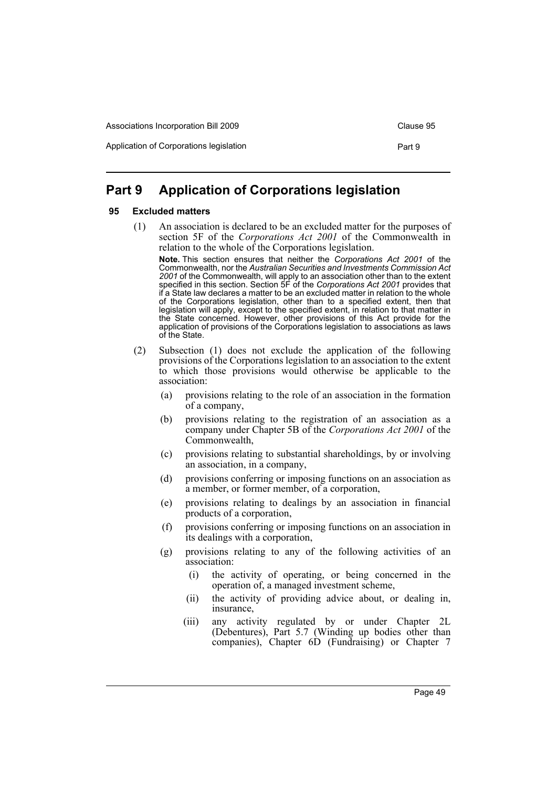Application of Corporations legislation **Part 9** Part 9

# **Part 9 Application of Corporations legislation**

## **95 Excluded matters**

(1) An association is declared to be an excluded matter for the purposes of section 5F of the *Corporations Act 2001* of the Commonwealth in relation to the whole of the Corporations legislation.

**Note.** This section ensures that neither the *Corporations Act 2001* of the Commonwealth, nor the *Australian Securities and Investments Commission Act 2001* of the Commonwealth, will apply to an association other than to the extent specified in this section. Section 5F of the *Corporations Act 2001* provides that if a State law declares a matter to be an excluded matter in relation to the whole of the Corporations legislation, other than to a specified extent, then that legislation will apply, except to the specified extent, in relation to that matter in the State concerned. However, other provisions of this Act provide for the application of provisions of the Corporations legislation to associations as laws of the State.

- (2) Subsection (1) does not exclude the application of the following provisions of the Corporations legislation to an association to the extent to which those provisions would otherwise be applicable to the association:
	- (a) provisions relating to the role of an association in the formation of a company,
	- (b) provisions relating to the registration of an association as a company under Chapter 5B of the *Corporations Act 2001* of the Commonwealth,
	- (c) provisions relating to substantial shareholdings, by or involving an association, in a company,
	- (d) provisions conferring or imposing functions on an association as a member, or former member, of a corporation,
	- (e) provisions relating to dealings by an association in financial products of a corporation,
	- (f) provisions conferring or imposing functions on an association in its dealings with a corporation,
	- (g) provisions relating to any of the following activities of an association:
		- (i) the activity of operating, or being concerned in the operation of, a managed investment scheme,
		- (ii) the activity of providing advice about, or dealing in, insurance,
		- (iii) any activity regulated by or under Chapter 2L (Debentures), Part 5.7 (Winding up bodies other than companies), Chapter 6D (Fundraising) or Chapter 7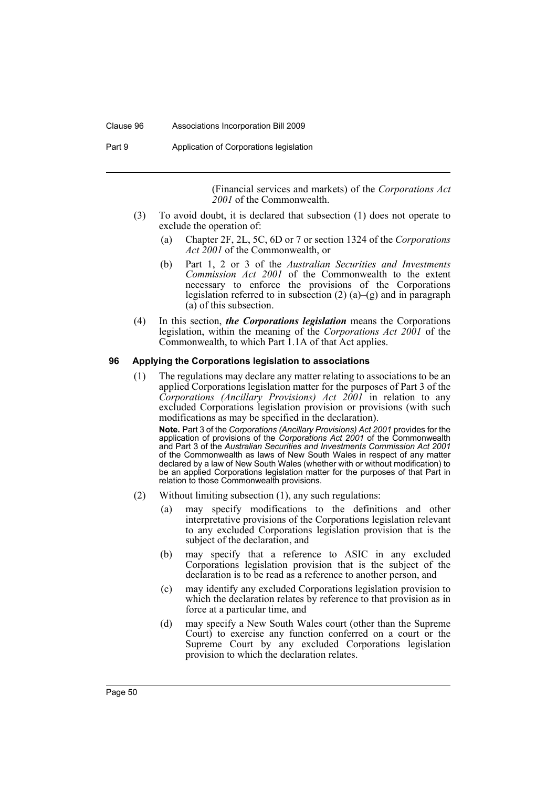#### Clause 96 Associations Incorporation Bill 2009

Part 9 **Application of Corporations legislation** 

(Financial services and markets) of the *Corporations Act 2001* of the Commonwealth.

- (3) To avoid doubt, it is declared that subsection (1) does not operate to exclude the operation of:
	- (a) Chapter 2F, 2L, 5C, 6D or 7 or section 1324 of the *Corporations Act 2001* of the Commonwealth, or
	- (b) Part 1, 2 or 3 of the *Australian Securities and Investments Commission Act 2001* of the Commonwealth to the extent necessary to enforce the provisions of the Corporations legislation referred to in subsection  $(2)$   $(a)$ – $(g)$  and in paragraph (a) of this subsection.
- (4) In this section, *the Corporations legislation* means the Corporations legislation, within the meaning of the *Corporations Act 2001* of the Commonwealth, to which Part 1.1A of that Act applies.

#### **96 Applying the Corporations legislation to associations**

(1) The regulations may declare any matter relating to associations to be an applied Corporations legislation matter for the purposes of Part 3 of the *Corporations (Ancillary Provisions) Act 2001* in relation to any excluded Corporations legislation provision or provisions (with such modifications as may be specified in the declaration).

**Note.** Part 3 of the *Corporations (Ancillary Provisions) Act 2001* provides for the application of provisions of the *Corporations Act 2001* of the Commonwealth and Part 3 of the *Australian Securities and Investments Commission Act 2001* of the Commonwealth as laws of New South Wales in respect of any matter declared by a law of New South Wales (whether with or without modification) to be an applied Corporations legislation matter for the purposes of that Part in relation to those Commonwealth provisions.

- (2) Without limiting subsection (1), any such regulations:
	- (a) may specify modifications to the definitions and other interpretative provisions of the Corporations legislation relevant to any excluded Corporations legislation provision that is the subject of the declaration, and
	- (b) may specify that a reference to ASIC in any excluded Corporations legislation provision that is the subject of the declaration is to be read as a reference to another person, and
	- (c) may identify any excluded Corporations legislation provision to which the declaration relates by reference to that provision as in force at a particular time, and
	- (d) may specify a New South Wales court (other than the Supreme Court) to exercise any function conferred on a court or the Supreme Court by any excluded Corporations legislation provision to which the declaration relates.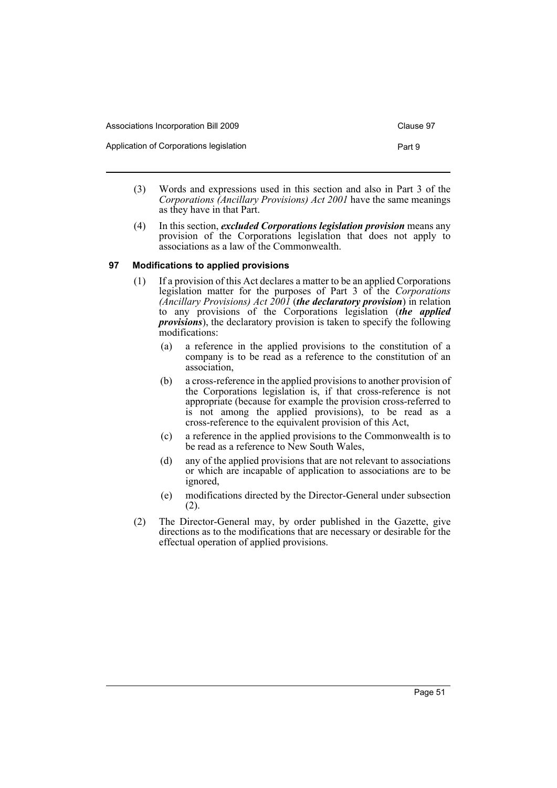| Associations Incorporation Bill 2009    | Clause 97 |
|-----------------------------------------|-----------|
| Application of Corporations legislation | Part 9    |

- (3) Words and expressions used in this section and also in Part 3 of the *Corporations (Ancillary Provisions) Act 2001* have the same meanings as they have in that Part.
- (4) In this section, *excluded Corporations legislation provision* means any provision of the Corporations legislation that does not apply to associations as a law of the Commonwealth.

## **97 Modifications to applied provisions**

- (1) If a provision of this Act declares a matter to be an applied Corporations legislation matter for the purposes of Part 3 of the *Corporations (Ancillary Provisions) Act 2001* (*the declaratory provision*) in relation to any provisions of the Corporations legislation (*the applied provisions*), the declaratory provision is taken to specify the following modifications:
	- (a) a reference in the applied provisions to the constitution of a company is to be read as a reference to the constitution of an association,
	- (b) a cross-reference in the applied provisions to another provision of the Corporations legislation is, if that cross-reference is not appropriate (because for example the provision cross-referred to is not among the applied provisions), to be read as a cross-reference to the equivalent provision of this Act,
	- (c) a reference in the applied provisions to the Commonwealth is to be read as a reference to New South Wales,
	- (d) any of the applied provisions that are not relevant to associations or which are incapable of application to associations are to be ignored,
	- (e) modifications directed by the Director-General under subsection (2).
- (2) The Director-General may, by order published in the Gazette, give directions as to the modifications that are necessary or desirable for the effectual operation of applied provisions.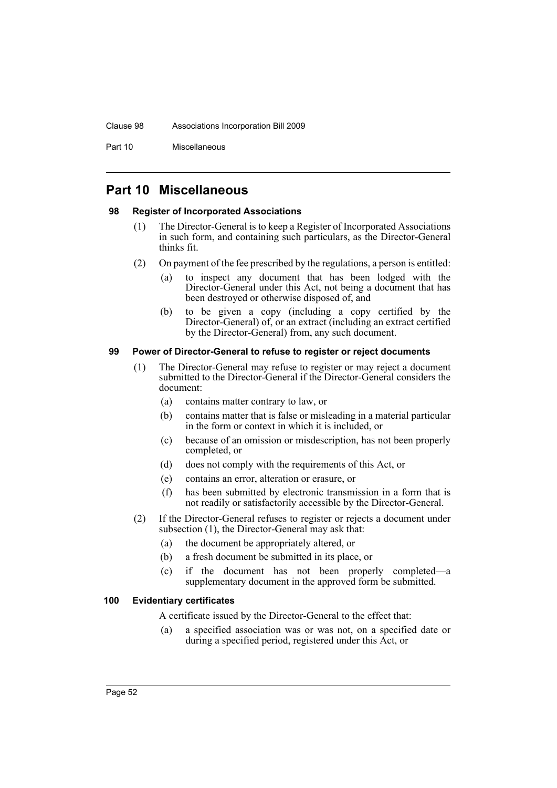#### Clause 98 Associations Incorporation Bill 2009

Part 10 Miscellaneous

# **Part 10 Miscellaneous**

## **98 Register of Incorporated Associations**

- (1) The Director-General is to keep a Register of Incorporated Associations in such form, and containing such particulars, as the Director-General thinks fit.
- (2) On payment of the fee prescribed by the regulations, a person is entitled:
	- (a) to inspect any document that has been lodged with the Director-General under this Act, not being a document that has been destroyed or otherwise disposed of, and
	- (b) to be given a copy (including a copy certified by the Director-General) of, or an extract (including an extract certified by the Director-General) from, any such document.

## **99 Power of Director-General to refuse to register or reject documents**

- (1) The Director-General may refuse to register or may reject a document submitted to the Director-General if the Director-General considers the document:
	- (a) contains matter contrary to law, or
	- (b) contains matter that is false or misleading in a material particular in the form or context in which it is included, or
	- (c) because of an omission or misdescription, has not been properly completed, or
	- (d) does not comply with the requirements of this Act, or
	- (e) contains an error, alteration or erasure, or
	- (f) has been submitted by electronic transmission in a form that is not readily or satisfactorily accessible by the Director-General.
- (2) If the Director-General refuses to register or rejects a document under subsection (1), the Director-General may ask that:
	- (a) the document be appropriately altered, or
	- (b) a fresh document be submitted in its place, or
	- (c) if the document has not been properly completed—a supplementary document in the approved form be submitted.

## **100 Evidentiary certificates**

A certificate issued by the Director-General to the effect that:

(a) a specified association was or was not, on a specified date or during a specified period, registered under this Act, or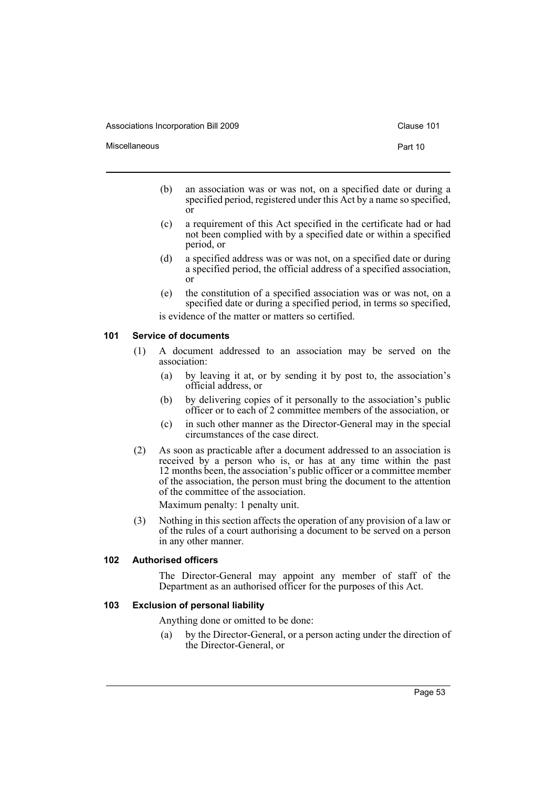Associations Incorporation Bill 2009 Clause 101

Miscellaneous **Part 10** 

- 
- (b) an association was or was not, on a specified date or during a specified period, registered under this Act by a name so specified, or
- (c) a requirement of this Act specified in the certificate had or had not been complied with by a specified date or within a specified period, or
- (d) a specified address was or was not, on a specified date or during a specified period, the official address of a specified association, or
- (e) the constitution of a specified association was or was not, on a specified date or during a specified period, in terms so specified, is evidence of the matter or matters so certified.

#### **101 Service of documents**

- (1) A document addressed to an association may be served on the association:
	- (a) by leaving it at, or by sending it by post to, the association's official address, or
	- (b) by delivering copies of it personally to the association's public officer or to each of 2 committee members of the association, or
	- (c) in such other manner as the Director-General may in the special circumstances of the case direct.
- (2) As soon as practicable after a document addressed to an association is received by a person who is, or has at any time within the past 12 months been, the association's public officer or a committee member of the association, the person must bring the document to the attention of the committee of the association.

Maximum penalty: 1 penalty unit.

(3) Nothing in this section affects the operation of any provision of a law or of the rules of a court authorising a document to be served on a person in any other manner.

#### **102 Authorised officers**

The Director-General may appoint any member of staff of the Department as an authorised officer for the purposes of this Act.

## **103 Exclusion of personal liability**

Anything done or omitted to be done:

(a) by the Director-General, or a person acting under the direction of the Director-General, or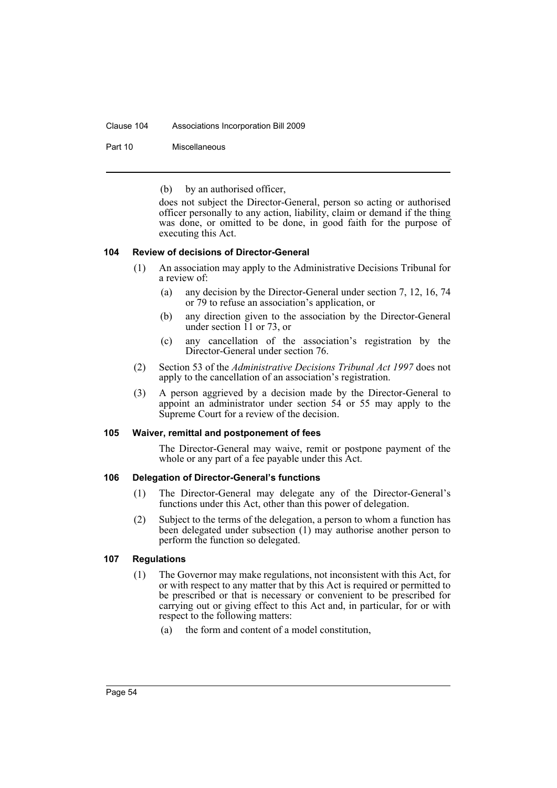#### Clause 104 Associations Incorporation Bill 2009

Part 10 Miscellaneous

(b) by an authorised officer,

does not subject the Director-General, person so acting or authorised officer personally to any action, liability, claim or demand if the thing was done, or omitted to be done, in good faith for the purpose of executing this Act.

#### **104 Review of decisions of Director-General**

- (1) An association may apply to the Administrative Decisions Tribunal for a review of:
	- (a) any decision by the Director-General under section 7, 12, 16, 74 or 79 to refuse an association's application, or
	- (b) any direction given to the association by the Director-General under section  $\overline{11}$  or 73, or
	- (c) any cancellation of the association's registration by the Director-General under section 76.
- (2) Section 53 of the *Administrative Decisions Tribunal Act 1997* does not apply to the cancellation of an association's registration.
- (3) A person aggrieved by a decision made by the Director-General to appoint an administrator under section 54 or 55 may apply to the Supreme Court for a review of the decision.

#### **105 Waiver, remittal and postponement of fees**

The Director-General may waive, remit or postpone payment of the whole or any part of a fee payable under this Act.

#### **106 Delegation of Director-General's functions**

- (1) The Director-General may delegate any of the Director-General's functions under this Act, other than this power of delegation.
- (2) Subject to the terms of the delegation, a person to whom a function has been delegated under subsection (1) may authorise another person to perform the function so delegated.

#### **107 Regulations**

- (1) The Governor may make regulations, not inconsistent with this Act, for or with respect to any matter that by this Act is required or permitted to be prescribed or that is necessary or convenient to be prescribed for carrying out or giving effect to this Act and, in particular, for or with respect to the following matters:
	- (a) the form and content of a model constitution,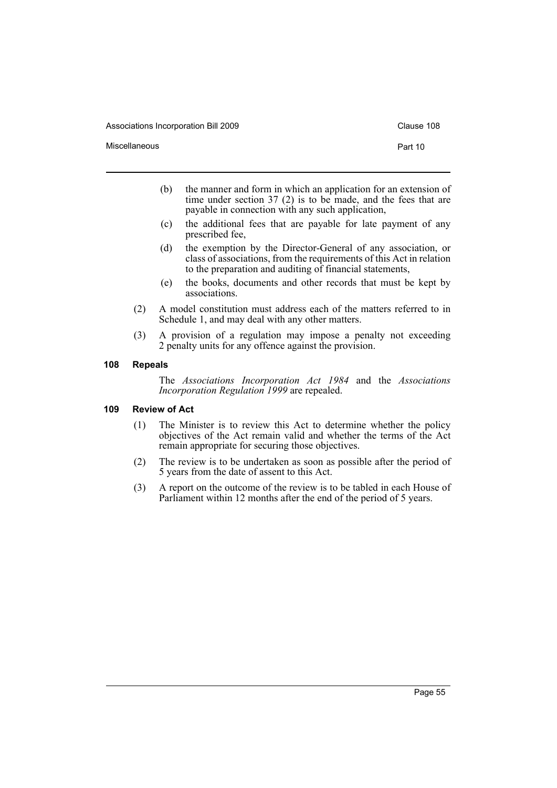Associations Incorporation Bill 2009 Clause 108

Miscellaneous **Part 10** 

- (b) the manner and form in which an application for an extension of time under section 37 (2) is to be made, and the fees that are payable in connection with any such application,
- (c) the additional fees that are payable for late payment of any prescribed fee,
- (d) the exemption by the Director-General of any association, or class of associations, from the requirements of this Act in relation to the preparation and auditing of financial statements,
- (e) the books, documents and other records that must be kept by associations.
- (2) A model constitution must address each of the matters referred to in Schedule 1, and may deal with any other matters.
- (3) A provision of a regulation may impose a penalty not exceeding 2 penalty units for any offence against the provision.

#### **108 Repeals**

The *Associations Incorporation Act 1984* and the *Associations Incorporation Regulation 1999* are repealed.

#### **109 Review of Act**

- (1) The Minister is to review this Act to determine whether the policy objectives of the Act remain valid and whether the terms of the Act remain appropriate for securing those objectives.
- (2) The review is to be undertaken as soon as possible after the period of 5 years from the date of assent to this Act.
- (3) A report on the outcome of the review is to be tabled in each House of Parliament within 12 months after the end of the period of 5 years.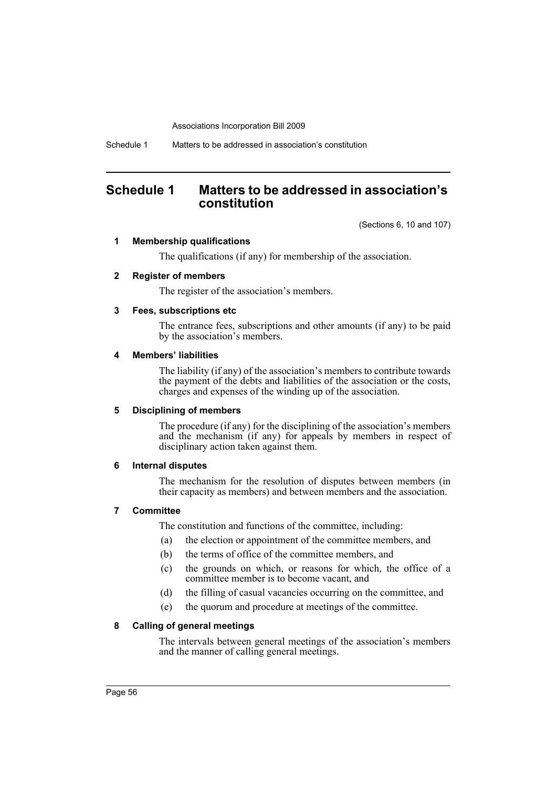Schedule 1 Matters to be addressed in association's constitution

# **Schedule 1 Matters to be addressed in association's constitution**

(Sections 6, 10 and 107)

## **1 Membership qualifications**

The qualifications (if any) for membership of the association.

## **2 Register of members**

The register of the association's members.

## **3 Fees, subscriptions etc**

The entrance fees, subscriptions and other amounts (if any) to be paid by the association's members.

#### **4 Members' liabilities**

The liability (if any) of the association's members to contribute towards the payment of the debts and liabilities of the association or the costs, charges and expenses of the winding up of the association.

#### **5 Disciplining of members**

The procedure (if any) for the disciplining of the association's members and the mechanism (if any) for appeals by members in respect of disciplinary action taken against them.

#### **6 Internal disputes**

The mechanism for the resolution of disputes between members (in their capacity as members) and between members and the association.

## **7 Committee**

The constitution and functions of the committee, including:

- (a) the election or appointment of the committee members, and
- (b) the terms of office of the committee members, and
- (c) the grounds on which, or reasons for which, the office of a committee member is to become vacant, and
- (d) the filling of casual vacancies occurring on the committee, and
- (e) the quorum and procedure at meetings of the committee.

## **8 Calling of general meetings**

The intervals between general meetings of the association's members and the manner of calling general meetings.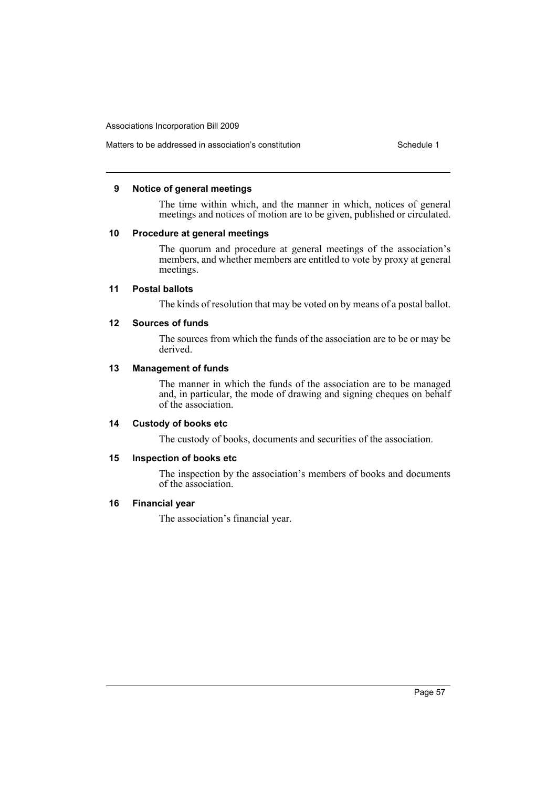## Matters to be addressed in association's constitution Schedule 1

#### **9 Notice of general meetings**

The time within which, and the manner in which, notices of general meetings and notices of motion are to be given, published or circulated.

## **10 Procedure at general meetings**

The quorum and procedure at general meetings of the association's members, and whether members are entitled to vote by proxy at general meetings.

## **11 Postal ballots**

The kinds of resolution that may be voted on by means of a postal ballot.

## **12 Sources of funds**

The sources from which the funds of the association are to be or may be derived.

## **13 Management of funds**

The manner in which the funds of the association are to be managed and, in particular, the mode of drawing and signing cheques on behalf of the association.

## **14 Custody of books etc**

The custody of books, documents and securities of the association.

## **15 Inspection of books etc**

The inspection by the association's members of books and documents of the association.

## **16 Financial year**

The association's financial year.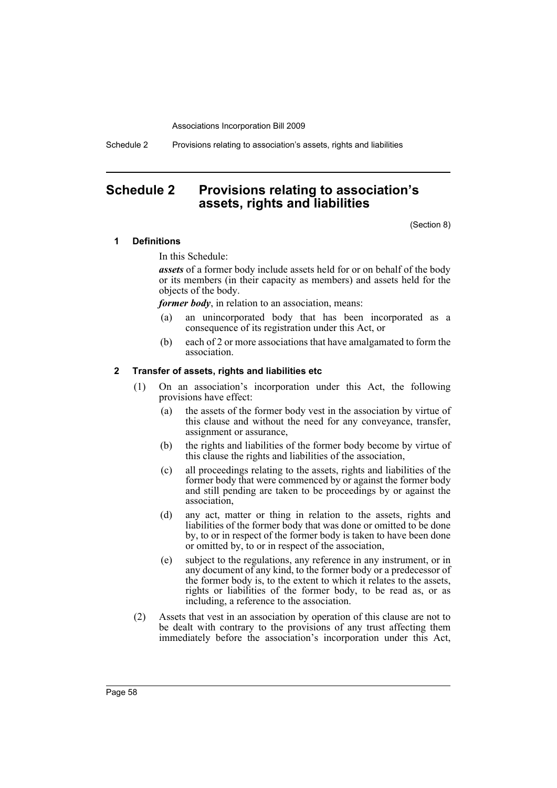Schedule 2 Provisions relating to association's assets, rights and liabilities

# **Schedule 2 Provisions relating to association's assets, rights and liabilities**

(Section 8)

#### **1 Definitions**

In this Schedule:

*assets* of a former body include assets held for or on behalf of the body or its members (in their capacity as members) and assets held for the objects of the body.

*former body*, in relation to an association, means:

- (a) an unincorporated body that has been incorporated as a consequence of its registration under this Act, or
- (b) each of 2 or more associations that have amalgamated to form the association.

## **2 Transfer of assets, rights and liabilities etc**

- (1) On an association's incorporation under this Act, the following provisions have effect:
	- (a) the assets of the former body vest in the association by virtue of this clause and without the need for any conveyance, transfer, assignment or assurance,
	- (b) the rights and liabilities of the former body become by virtue of this clause the rights and liabilities of the association,
	- (c) all proceedings relating to the assets, rights and liabilities of the former body that were commenced by or against the former body and still pending are taken to be proceedings by or against the association,
	- (d) any act, matter or thing in relation to the assets, rights and liabilities of the former body that was done or omitted to be done by, to or in respect of the former body is taken to have been done or omitted by, to or in respect of the association,
	- (e) subject to the regulations, any reference in any instrument, or in any document of any kind, to the former body or a predecessor of the former body is, to the extent to which it relates to the assets, rights or liabilities of the former body, to be read as, or as including, a reference to the association.
- (2) Assets that vest in an association by operation of this clause are not to be dealt with contrary to the provisions of any trust affecting them immediately before the association's incorporation under this Act,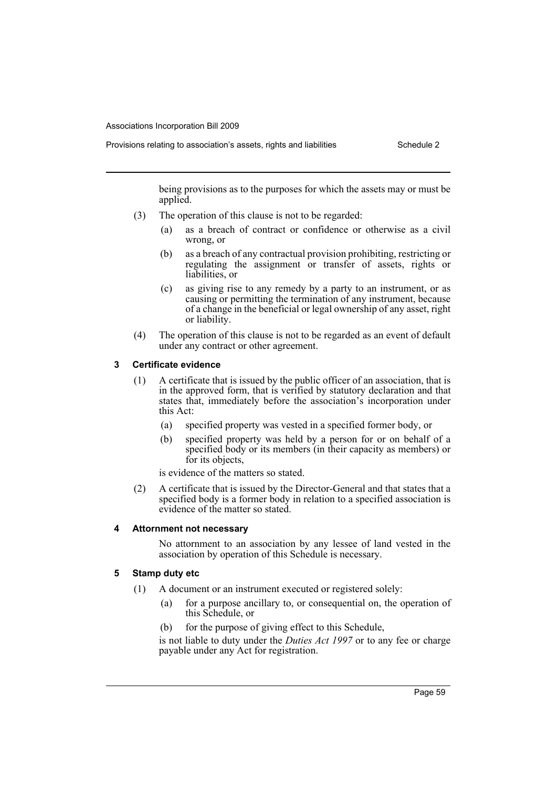Provisions relating to association's assets, rights and liabilities Schedule 2

being provisions as to the purposes for which the assets may or must be applied.

- (3) The operation of this clause is not to be regarded:
	- (a) as a breach of contract or confidence or otherwise as a civil wrong, or
	- (b) as a breach of any contractual provision prohibiting, restricting or regulating the assignment or transfer of assets, rights or liabilities, or
	- (c) as giving rise to any remedy by a party to an instrument, or as causing or permitting the termination of any instrument, because of a change in the beneficial or legal ownership of any asset, right or liability.
- (4) The operation of this clause is not to be regarded as an event of default under any contract or other agreement.

## **3 Certificate evidence**

- (1) A certificate that is issued by the public officer of an association, that is in the approved form, that is verified by statutory declaration and that states that, immediately before the association's incorporation under this Act:
	- (a) specified property was vested in a specified former body, or
	- (b) specified property was held by a person for or on behalf of a specified body or its members (in their capacity as members) or for its objects,

is evidence of the matters so stated.

(2) A certificate that is issued by the Director-General and that states that a specified body is a former body in relation to a specified association is evidence of the matter so stated.

## **4 Attornment not necessary**

No attornment to an association by any lessee of land vested in the association by operation of this Schedule is necessary.

## **5 Stamp duty etc**

- (1) A document or an instrument executed or registered solely:
	- (a) for a purpose ancillary to, or consequential on, the operation of this Schedule, or
	- (b) for the purpose of giving effect to this Schedule,

is not liable to duty under the *Duties Act 1997* or to any fee or charge payable under any Act for registration.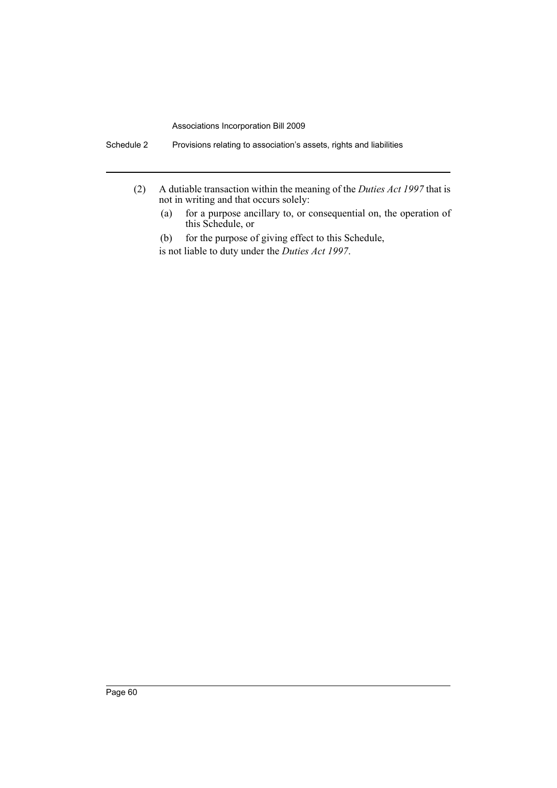- (2) A dutiable transaction within the meaning of the *Duties Act 1997* that is not in writing and that occurs solely:
	- (a) for a purpose ancillary to, or consequential on, the operation of this Schedule, or

(b) for the purpose of giving effect to this Schedule, is not liable to duty under the *Duties Act 1997*.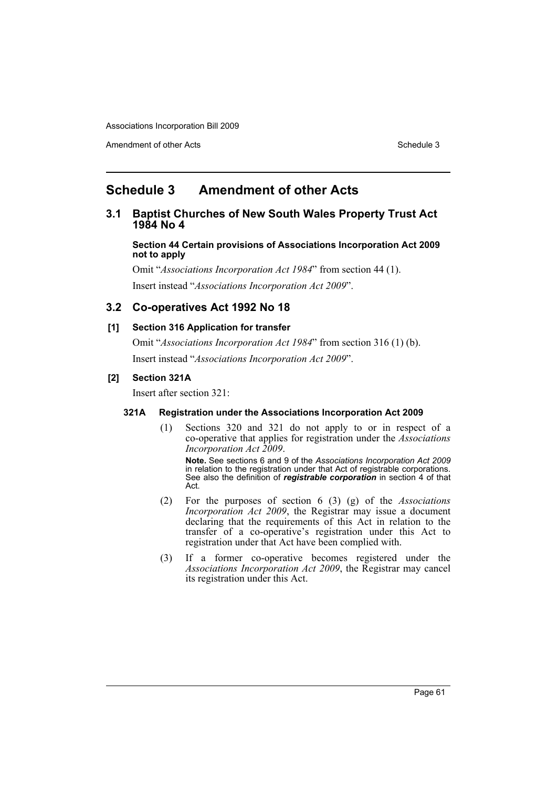Amendment of other Acts **Schedule 3** and the 3 set of the 3 set of the 3 set of the 3 set of the 3 set of the 3 set of the 3 set of the 3 set of the 3 set of the 3 set of the 3 set of the 3 set of the 3 set of the 3 set of

# **Schedule 3 Amendment of other Acts**

## **3.1 Baptist Churches of New South Wales Property Trust Act 1984 No 4**

**Section 44 Certain provisions of Associations Incorporation Act 2009 not to apply**

Omit "*Associations Incorporation Act 1984*" from section 44 (1). Insert instead "*Associations Incorporation Act 2009*".

# **3.2 Co-operatives Act 1992 No 18**

## **[1] Section 316 Application for transfer**

Omit "*Associations Incorporation Act 1984*" from section 316 (1) (b). Insert instead "*Associations Incorporation Act 2009*".

## **[2] Section 321A**

Insert after section 321:

## **321A Registration under the Associations Incorporation Act 2009**

(1) Sections 320 and 321 do not apply to or in respect of a co-operative that applies for registration under the *Associations Incorporation Act 2009*.

**Note.** See sections 6 and 9 of the *Associations Incorporation Act 2009* in relation to the registration under that Act of registrable corporations. See also the definition of *registrable corporation* in section 4 of that Act.

- (2) For the purposes of section 6 (3) (g) of the *Associations Incorporation Act 2009*, the Registrar may issue a document declaring that the requirements of this Act in relation to the transfer of a co-operative's registration under this Act to registration under that Act have been complied with.
- (3) If a former co-operative becomes registered under the *Associations Incorporation Act 2009*, the Registrar may cancel its registration under this Act.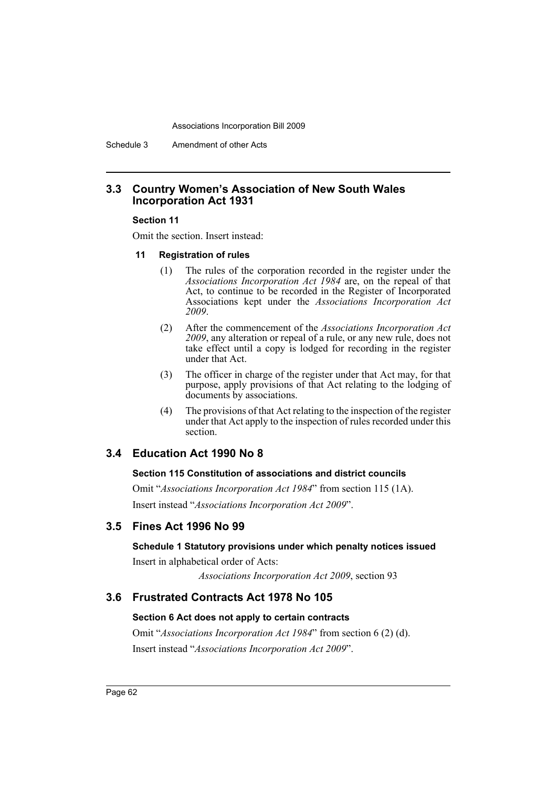Schedule 3 Amendment of other Acts

## **3.3 Country Women's Association of New South Wales Incorporation Act 1931**

#### **Section 11**

Omit the section. Insert instead:

#### **11 Registration of rules**

- (1) The rules of the corporation recorded in the register under the *Associations Incorporation Act 1984* are, on the repeal of that Act, to continue to be recorded in the Register of Incorporated Associations kept under the *Associations Incorporation Act 2009*.
- (2) After the commencement of the *Associations Incorporation Act 2009*, any alteration or repeal of a rule, or any new rule, does not take effect until a copy is lodged for recording in the register under that Act.
- (3) The officer in charge of the register under that Act may, for that purpose, apply provisions of that Act relating to the lodging of documents by associations.
- (4) The provisions of that Act relating to the inspection of the register under that Act apply to the inspection of rules recorded under this section.

## **3.4 Education Act 1990 No 8**

#### **Section 115 Constitution of associations and district councils**

Omit "*Associations Incorporation Act 1984*" from section 115 (1A). Insert instead "*Associations Incorporation Act 2009*".

## **3.5 Fines Act 1996 No 99**

## **Schedule 1 Statutory provisions under which penalty notices issued**

Insert in alphabetical order of Acts:

*Associations Incorporation Act 2009*, section 93

## **3.6 Frustrated Contracts Act 1978 No 105**

## **Section 6 Act does not apply to certain contracts**

Omit "*Associations Incorporation Act 1984*" from section 6 (2) (d). Insert instead "*Associations Incorporation Act 2009*".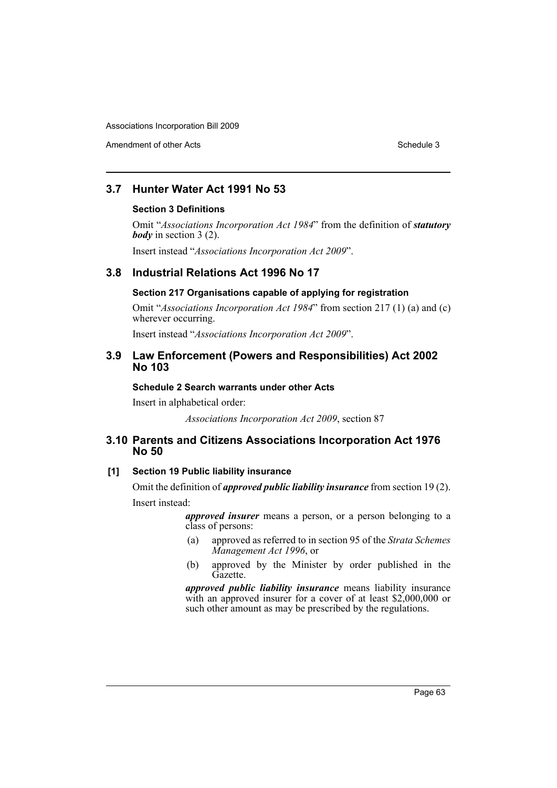Amendment of other Acts **Schedule 3** and the 3 sense of the 3 sense of the 3 sense of the 3 sense of the 3 sense of the 3 sense of the 3 sense of the 3 sense of the 3 sense of the 3 sense of the 3 sense of the 3 sense of t

# **3.7 Hunter Water Act 1991 No 53**

#### **Section 3 Definitions**

Omit "*Associations Incorporation Act 1984*" from the definition of *statutory body* in section 3 (2).

Insert instead "*Associations Incorporation Act 2009*".

## **3.8 Industrial Relations Act 1996 No 17**

## **Section 217 Organisations capable of applying for registration**

Omit "*Associations Incorporation Act 1984*" from section 217 (1) (a) and (c) wherever occurring.

Insert instead "*Associations Incorporation Act 2009*".

## **3.9 Law Enforcement (Powers and Responsibilities) Act 2002 No 103**

## **Schedule 2 Search warrants under other Acts**

Insert in alphabetical order:

*Associations Incorporation Act 2009*, section 87

## **3.10 Parents and Citizens Associations Incorporation Act 1976 No 50**

## **[1] Section 19 Public liability insurance**

Omit the definition of *approved public liability insurance* from section 19 (2). Insert instead:

> *approved insurer* means a person, or a person belonging to a class of persons:

- (a) approved as referred to in section 95 of the *Strata Schemes Management Act 1996*, or
- (b) approved by the Minister by order published in the Gazette.

*approved public liability insurance* means liability insurance with an approved insurer for a cover of at least \$2,000,000 or such other amount as may be prescribed by the regulations.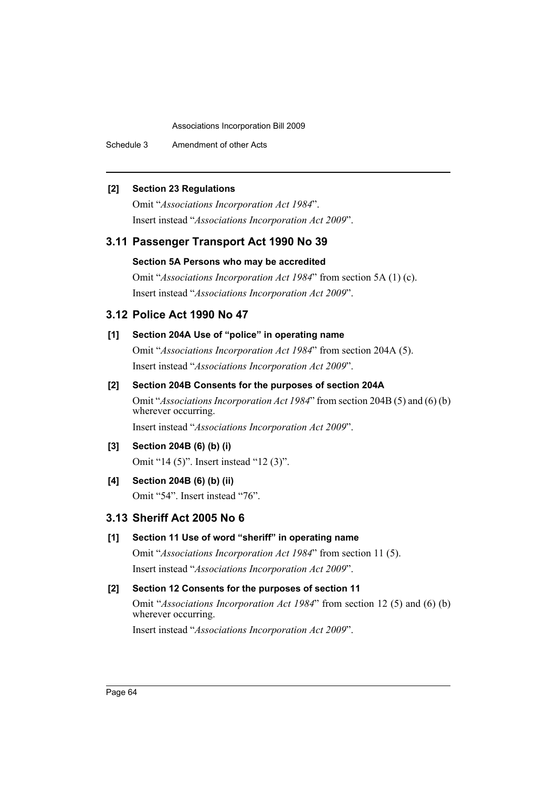Schedule 3 Amendment of other Acts

## **[2] Section 23 Regulations**

Omit "*Associations Incorporation Act 1984*". Insert instead "*Associations Incorporation Act 2009*".

# **3.11 Passenger Transport Act 1990 No 39**

## **Section 5A Persons who may be accredited**

Omit "*Associations Incorporation Act 1984*" from section 5A (1) (c). Insert instead "*Associations Incorporation Act 2009*".

# **3.12 Police Act 1990 No 47**

## **[1] Section 204A Use of "police" in operating name**

Omit "*Associations Incorporation Act 1984*" from section 204A (5). Insert instead "*Associations Incorporation Act 2009*".

## **[2] Section 204B Consents for the purposes of section 204A**

Omit "*Associations Incorporation Act 1984*" from section 204B (5) and (6) (b) wherever occurring. Insert instead "*Associations Incorporation Act 2009*".

## **[3] Section 204B (6) (b) (i)**

Omit "14 (5)". Insert instead "12 (3)".

## **[4] Section 204B (6) (b) (ii)**

Omit "54". Insert instead "76".

# **3.13 Sheriff Act 2005 No 6**

## **[1] Section 11 Use of word "sheriff" in operating name**

Omit "*Associations Incorporation Act 1984*" from section 11 (5). Insert instead "*Associations Incorporation Act 2009*".

## **[2] Section 12 Consents for the purposes of section 11**

Omit "*Associations Incorporation Act 1984*" from section 12 (5) and (6) (b) wherever occurring.

Insert instead "*Associations Incorporation Act 2009*".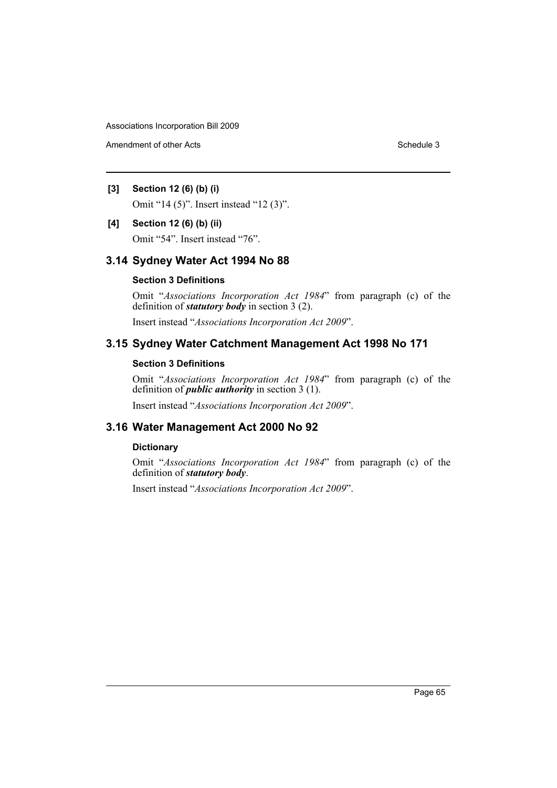Amendment of other Acts **Schedule 3** and the 3 set of the 3 set of the 3 set of the 3 set of the 3 set of the 3 set of the 3 set of the 3 set of the 3 set of the 3 set of the 3 set of the 3 set of the 3 set of the 3 set of

## **[3] Section 12 (6) (b) (i)**

Omit "14 (5)". Insert instead "12 (3)".

#### **[4] Section 12 (6) (b) (ii)**

Omit "54". Insert instead "76".

## **3.14 Sydney Water Act 1994 No 88**

## **Section 3 Definitions**

Omit "*Associations Incorporation Act 1984*" from paragraph (c) of the definition of *statutory body* in section 3 (2).

Insert instead "*Associations Incorporation Act 2009*".

# **3.15 Sydney Water Catchment Management Act 1998 No 171**

## **Section 3 Definitions**

Omit "*Associations Incorporation Act 1984*" from paragraph (c) of the definition of *public authority* in section 3 (1).

Insert instead "*Associations Incorporation Act 2009*".

## **3.16 Water Management Act 2000 No 92**

## **Dictionary**

Omit "*Associations Incorporation Act 1984*" from paragraph (c) of the definition of *statutory body*.

Insert instead "*Associations Incorporation Act 2009*".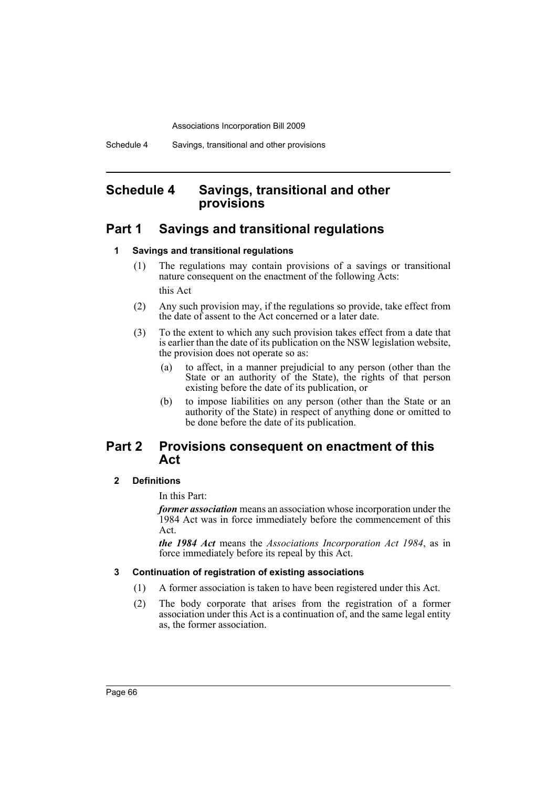# **Schedule 4 Savings, transitional and other provisions**

# **Part 1 Savings and transitional regulations**

## **1 Savings and transitional regulations**

- (1) The regulations may contain provisions of a savings or transitional nature consequent on the enactment of the following Acts: this Act
- (2) Any such provision may, if the regulations so provide, take effect from the date of assent to the Act concerned or a later date.
- (3) To the extent to which any such provision takes effect from a date that is earlier than the date of its publication on the NSW legislation website, the provision does not operate so as:
	- (a) to affect, in a manner prejudicial to any person (other than the State or an authority of the State), the rights of that person existing before the date of its publication, or
	- (b) to impose liabilities on any person (other than the State or an authority of the State) in respect of anything done or omitted to be done before the date of its publication.

# **Part 2 Provisions consequent on enactment of this Act**

## **2 Definitions**

In this Part:

*former association* means an association whose incorporation under the 1984 Act was in force immediately before the commencement of this Act.

*the 1984 Act* means the *Associations Incorporation Act 1984*, as in force immediately before its repeal by this Act.

#### **3 Continuation of registration of existing associations**

- (1) A former association is taken to have been registered under this Act.
- (2) The body corporate that arises from the registration of a former association under this Act is a continuation of, and the same legal entity as, the former association.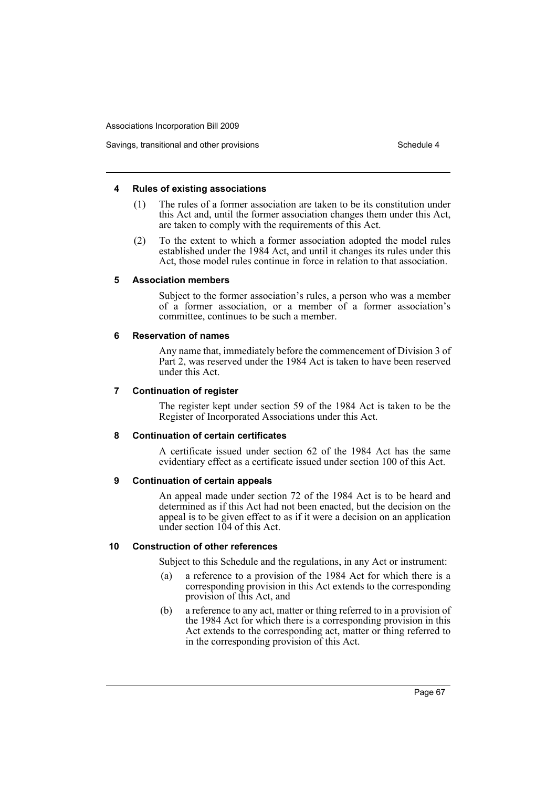#### **4 Rules of existing associations**

- (1) The rules of a former association are taken to be its constitution under this Act and, until the former association changes them under this Act, are taken to comply with the requirements of this Act.
- (2) To the extent to which a former association adopted the model rules established under the 1984 Act, and until it changes its rules under this Act, those model rules continue in force in relation to that association.

#### **5 Association members**

Subject to the former association's rules, a person who was a member of a former association, or a member of a former association's committee, continues to be such a member.

#### **6 Reservation of names**

Any name that, immediately before the commencement of Division 3 of Part 2, was reserved under the 1984 Act is taken to have been reserved under this Act.

#### **7 Continuation of register**

The register kept under section 59 of the 1984 Act is taken to be the Register of Incorporated Associations under this Act.

#### **8 Continuation of certain certificates**

A certificate issued under section 62 of the 1984 Act has the same evidentiary effect as a certificate issued under section 100 of this Act.

#### **9 Continuation of certain appeals**

An appeal made under section 72 of the 1984 Act is to be heard and determined as if this Act had not been enacted, but the decision on the appeal is to be given effect to as if it were a decision on an application under section 104 of this Act.

#### **10 Construction of other references**

Subject to this Schedule and the regulations, in any Act or instrument:

- (a) a reference to a provision of the 1984 Act for which there is a corresponding provision in this Act extends to the corresponding provision of this Act, and
- (b) a reference to any act, matter or thing referred to in a provision of the 1984 Act for which there is a corresponding provision in this Act extends to the corresponding act, matter or thing referred to in the corresponding provision of this Act.